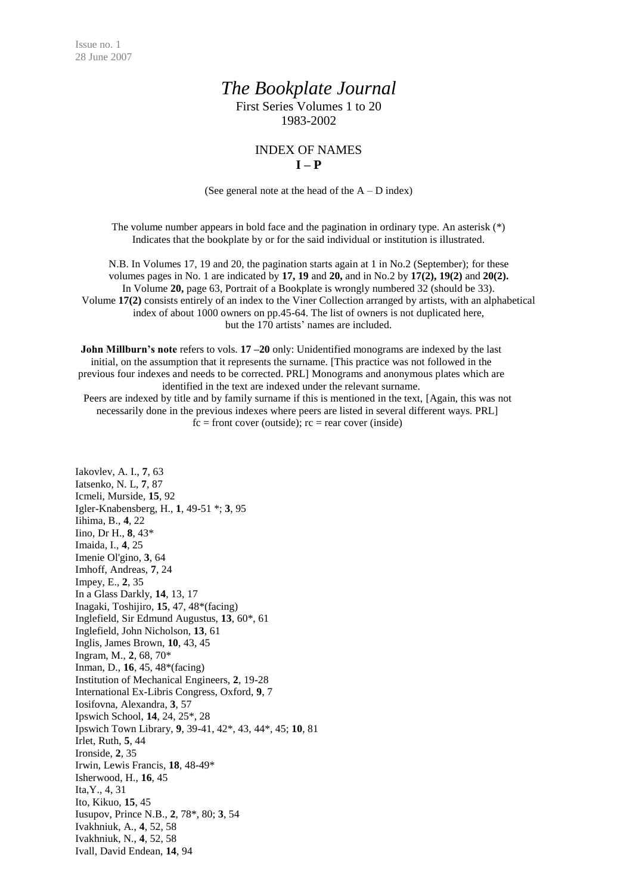## *The Bookplate Journal*

First Series Volumes 1 to 20 1983-2002

## INDEX OF NAMES **I – P**

(See general note at the head of the  $A - D$  index)

The volume number appears in bold face and the pagination in ordinary type. An asterisk (\*) Indicates that the bookplate by or for the said individual or institution is illustrated.

N.B. In Volumes 17, 19 and 20, the pagination starts again at 1 in No.2 (September); for these volumes pages in No. 1 are indicated by **17, 19** and **20,** and in No.2 by **17(2), 19(2)** and **20(2).** In Volume **20,** page 63, Portrait of a Bookplate is wrongly numbered 32 (should be 33). Volume **17(2)** consists entirely of an index to the Viner Collection arranged by artists, with an alphabetical index of about 1000 owners on pp.45-64. The list of owners is not duplicated here, but the 170 artists' names are included.

**John Millburn's note** refers to vols. **17 –20** only: Unidentified monograms are indexed by the last initial, on the assumption that it represents the surname. [This practice was not followed in the previous four indexes and needs to be corrected. PRL] Monograms and anonymous plates which are identified in the text are indexed under the relevant surname.

Peers are indexed by title and by family surname if this is mentioned in the text, [Again, this was not necessarily done in the previous indexes where peers are listed in several different ways. PRL]  $fc = front cover (outside); rc = rear cover (inside)$ 

Iakovlev, A. I., **7**, 63 Iatsenko, N. L, **7**, 87 Icmeli, Murside, **15**, 92 Igler-Knabensberg, H., **1**, 49-51 \*; **3**, 95 Iihima, B., **4**, 22 Iino, Dr H., **8**, 43\* Imaida, I., **4**, 25 Imenie Ol'gino, **3**, 64 Imhoff, Andreas, **7**, 24 Impey, E., **2**, 35 In a Glass Darkly, **14**, 13, 17 Inagaki, Toshijiro, **15**, 47, 48\*(facing) Inglefield, Sir Edmund Augustus, **13**, 60\*, 61 Inglefield, John Nicholson, **13**, 61 Inglis, James Brown, **10**, 43, 45 Ingram, M., **2**, 68, 70\* Inman, D., **16**, 45, 48\*(facing) Institution of Mechanical Engineers, **2**, 19-28 International Ex-Libris Congress, Oxford, **9**, 7 Iosifovna, Alexandra, **3**, 57 Ipswich School, **14**, 24, 25\*, 28 Ipswich Town Library, **9**, 39-41, 42\*, 43, 44\*, 45; **10**, 81 Irlet, Ruth, **5**, 44 Ironside, **2**, 35 Irwin, Lewis Francis, **18**, 48-49\* Isherwood, H., **16**, 45 Ita,Y., 4, 31 Ito, Kikuo, **15**, 45 Iusupov, Prince N.B., **2**, 78\*, 80; **3**, 54 Ivakhniuk, A., **4**, 52, 58 Ivakhniuk, N., **4**, 52, 58 Ivall, David Endean, **14**, 94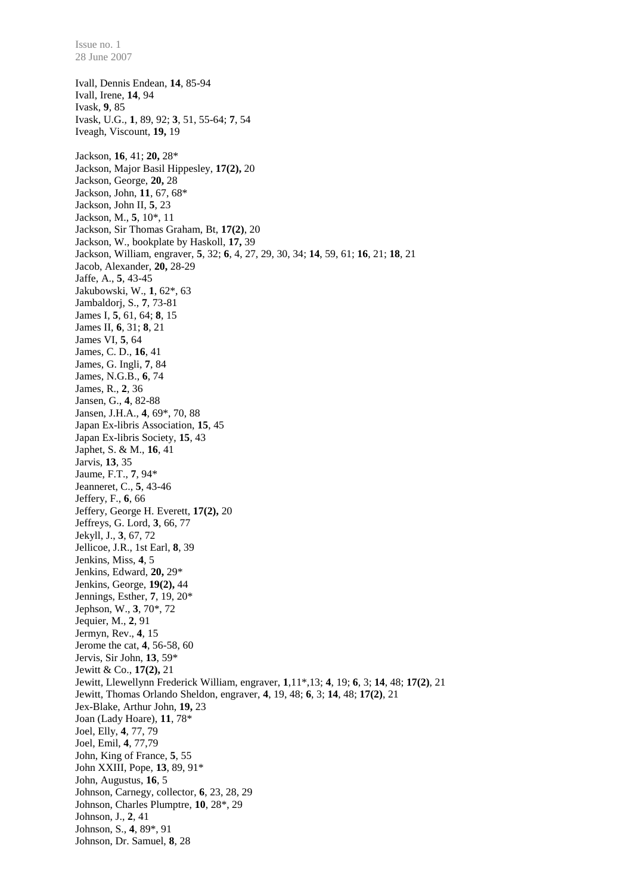28 June 2007 Ivall, Dennis Endean, **14**, 85-94 Ivall, Irene, **14**, 94 Ivask, **9**, 85 Ivask, U.G., **1**, 89, 92; **3**, 51, 55-64; **7**, 54 Iveagh, Viscount, **19,** 19 Jackson, **16**, 41; **20,** 28\* Jackson, Major Basil Hippesley, **17(2),** 20 Jackson, George, **20,** 28 Jackson, John, **11**, 67, 68\* Jackson, John II, **5**, 23 Jackson, M., **5**, 10\*, 11 Jackson, Sir Thomas Graham, Bt, **17(2)**, 20 Jackson, W., bookplate by Haskoll, **17,** 39 Jackson, William, engraver, **5**, 32; **6**, 4, 27, 29, 30, 34; **14**, 59, 61; **16**, 21; **18**, 21 Jacob, Alexander, **20,** 28-29 Jaffe, A., **5**, 43-45 Jakubowski, W., **1**, 62\*, 63 Jambaldorj, S., **7**, 73-81 James I, **5**, 61, 64; **8**, 15 James II, **6**, 31; **8**, 21 James VI, **5**, 64 James, C. D., **16**, 41 James, G. Ingli, **7**, 84 James, N.G.B., **6**, 74 James, R., **2**, 36 Jansen, G., **4**, 82-88 Jansen, J.H.A., **4**, 69\*, 70, 88 Japan Ex-libris Association, **15**, 45 Japan Ex-libris Society, **15**, 43 Japhet, S. & M., **16**, 41 Jarvis, **13**, 35 Jaume, F.T., **7**, 94\* Jeanneret, C., **5**, 43-46 Jeffery, F., **6**, 66 Jeffery, George H. Everett, **17(2),** 20 Jeffreys, G. Lord, **3**, 66, 77 Jekyll, J., **3**, 67, 72 Jellicoe, J.R., 1st Earl, **8**, 39 Jenkins, Miss, **4**, 5 Jenkins, Edward, **20,** 29\* Jenkins, George, **19(2),** 44 Jennings, Esther, **7**, 19, 20\* Jephson, W., **3**, 70\*, 72 Jequier, M., **2**, 91 Jermyn, Rev., **4**, 15 Jerome the cat, **4**, 56-58, 60 Jervis, Sir John, **13**, 59\* Jewitt & Co., **17(2),** 21 Jewitt, Llewellynn Frederick William, engraver, **1**,11\*,13; **4**, 19; **6**, 3; **14**, 48; **17(2)**, 21 Jewitt, Thomas Orlando Sheldon, engraver, **4**, 19, 48; **6**, 3; **14**, 48; **17(2)**, 21 Jex-Blake, Arthur John, **19,** 23 Joan (Lady Hoare), **11**, 78\* Joel, Elly, **4**, 77, 79 Joel, Emil, **4**, 77,79 John, King of France, **5**, 55 John XXIII, Pope, **13**, 89, 91\* John, Augustus, **16**, 5 Johnson, Carnegy, collector, **6**, 23, 28, 29 Johnson, Charles Plumptre, **10**, 28\*, 29 Johnson, J., **2**, 41 Johnson, S., **4**, 89\*, 91 Johnson, Dr. Samuel, **8**, 28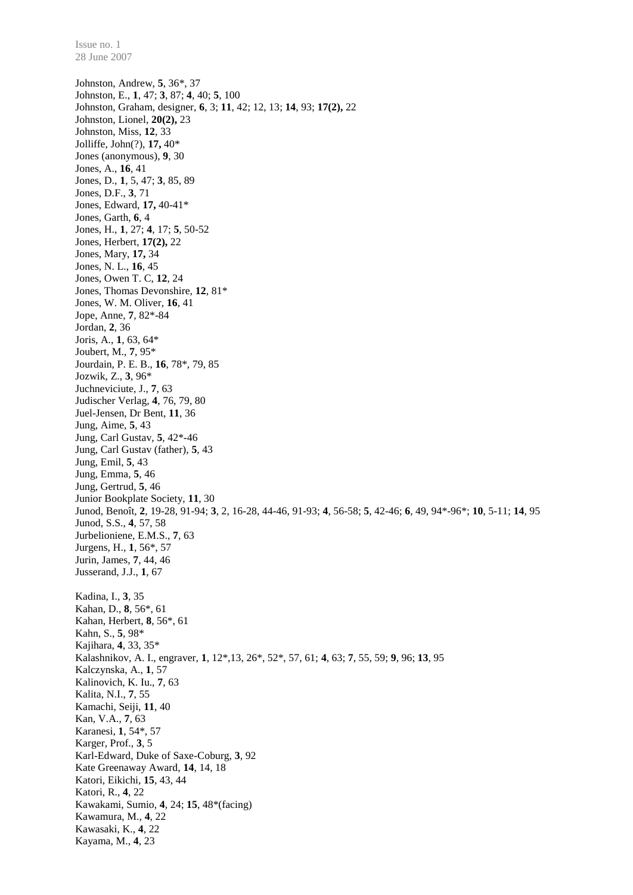Johnston, Andrew, **5**, 36\*, 37 Johnston, E., **1**, 47; **3**, 87; **4**, 40; **5**, 100 Johnston, Graham, designer, **6**, 3; **11**, 42; 12, 13; **14**, 93; **17(2),** 22 Johnston, Lionel, **20(2),** 23 Johnston, Miss, **12**, 33 Jolliffe, John(?), **17,** 40\* Jones (anonymous), **9**, 30 Jones, A., **16**, 41 Jones, D., **1**, 5, 47; **3**, 85, 89 Jones, D.F., **3**, 71 Jones, Edward, **17,** 40-41\* Jones, Garth, **6**, 4 Jones, H., **1**, 27; **4**, 17; **5**, 50-52 Jones, Herbert, **17(2),** 22 Jones, Mary, **17,** 34 Jones, N. L., **16**, 45 Jones, Owen T. C, **12**, 24 Jones, Thomas Devonshire, **12**, 81\* Jones, W. M. Oliver, **16**, 41 Jope, Anne, **7**, 82\*-84 Jordan, **2**, 36 Joris, A., **1**, 63, 64\* Joubert, M., **7**, 95\* Jourdain, P. E. B., **16**, 78\*, 79, 85 Jozwik, Z., **3**, 96\* Juchneviciute, J., **7**, 63 Judischer Verlag, **4**, 76, 79, 80 Juel-Jensen, Dr Bent, **11**, 36 Jung, Aime, **5**, 43 Jung, Carl Gustav, **5**, 42\*-46 Jung, Carl Gustav (father), **5**, 43 Jung, Emil, **5**, 43 Jung, Emma, **5**, 46 Jung, Gertrud, **5**, 46 Junior Bookplate Society, **11**, 30 Junod, Benoît, **2**, 19-28, 91-94; **3**, 2, 16-28, 44-46, 91-93; **4**, 56-58; **5**, 42-46; **6**, 49, 94\*-96\*; **10**, 5-11; **14**, 95 Junod, S.S., **4**, 57, 58 Jurbelioniene, E.M.S., **7**, 63 Jurgens, H., **1**, 56\*, 57 Jurin, James, **7**, 44, 46 Jusserand, J.J., **1**, 67 Kadina, I., **3**, 35 Kahan, D., **8**, 56\*, 61 Kahan, Herbert, **8**, 56\*, 61 Kahn, S., **5**, 98\* Kajihara, **4**, 33, 35\* Kalashnikov, A. I., engraver, **1**, 12\*,13, 26\*, 52\*, 57, 61; **4**, 63; **7**, 55, 59; **9**, 96; **13**, 95 Kalczynska, A., **1**, 57 Kalinovich, K. Iu., **7**, 63 Kalita, N.I., **7**, 55 Kamachi, Seiji, **11**, 40 Kan, V.A., **7**, 63 Karanesi, **1**, 54\*, 57 Karger, Prof., **3**, 5 Karl-Edward, Duke of Saxe-Coburg, **3**, 92 Kate Greenaway Award, **14**, 14, 18 Katori, Eikichi, **15**, 43, 44 Katori, R., **4**, 22 Kawakami, Sumio, **4**, 24; **15**, 48\*(facing) Kawamura, M., **4**, 22 Kawasaki, K., **4**, 22 Kayama, M., **4**, 23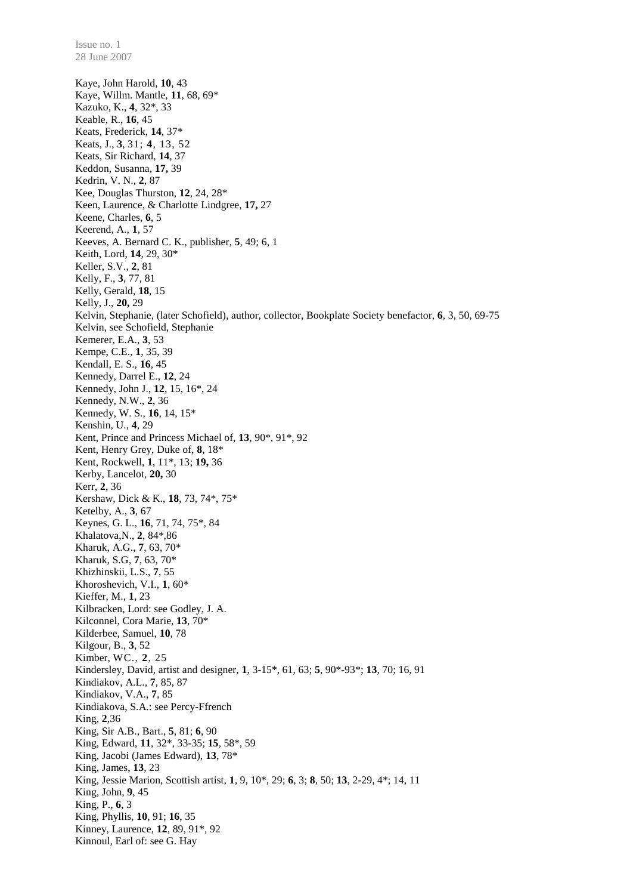28 June 2007 Kaye, John Harold, **10**, 43 Kaye, Willm. Mantle, **11**, 68, 69\* Kazuko, K., **4**, 32\*, 33 Keable, R., **16**, 45 Keats, Frederick, **14**, 37\* Keats, J., **3**, 31; **4**, 13, 52 Keats, Sir Richard, **14**, 37 Keddon, Susanna, **17,** 39 Kedrin, V. N., **2**, 87 Kee, Douglas Thurston, **12**, 24, 28\* Keen, Laurence, & Charlotte Lindgree, **17,** 27 Keene, Charles, **6**, 5 Keerend, A., **1**, 57 Keeves, A. Bernard C. K., publisher, **5**, 49; 6, 1 Keith, Lord, **14**, 29, 30\* Keller, S.V., **2**, 81 Kelly, F., **3**, 77, 81 Kelly, Gerald, **18**, 15 Kelly, J., **20,** 29 Kelvin, Stephanie, (later Schofield), author, collector, Bookplate Society benefactor, **6**, 3, 50, 69-75 Kelvin, see Schofield, Stephanie Kemerer, E.A., **3**, 53 Kempe, C.E., **1**, 35, 39 Kendall, E. S., **16**, 45 Kennedy, Darrel E., **12**, 24 Kennedy, John J., **12**, 15, 16\*, 24 Kennedy, N.W., **2**, 36 Kennedy, W. S., **16**, 14, 15\* Kenshin, U., **4**, 29 Kent, Prince and Princess Michael of, **13**, 90\*, 91\*, 92 Kent, Henry Grey, Duke of, **8**, 18\* Kent, Rockwell, **1**, 11\*, 13; **19,** 36 Kerby, Lancelot, **20,** 30 Kerr, **2**, 36 Kershaw, Dick & K., **18**, 73, 74\*, 75\* Ketelby, A., **3**, 67 Keynes, G. L., **16**, 71, 74, 75\*, 84 Khalatova,N., **2**, 84\*,86 Kharuk, A.G., **7**, 63, 70\* Kharuk, S.G, **7**, 63, 70\* Khizhinskii, L.S., **7**, 55 Khoroshevich, V.I., **1**, 60\* Kieffer, M., **1**, 23 Kilbracken, Lord: see Godley, J. A. Kilconnel, Cora Marie, **13**, 70\* Kilderbee, Samuel, **10**, 78 Kilgour, B., **3**, 52 Kimber, WC., **2**, 25 Kindersley, David, artist and designer, **1**, 3-15\*, 61, 63; **5**, 90\*-93\*; **13**, 70; 16, 91 Kindiakov, A.L., **7**, 85, 87 Kindiakov, V.A., **7**, 85 Kindiakova, S.A.: see Percy-Ffrench King, **2**,36 King, Sir A.B., Bart., **5**, 81; **6**, 90 King, Edward, **11**, 32\*, 33-35; **15**, 58\*, 59 King, Jacobi (James Edward), **13**, 78\* King, James, **13**, 23 King, Jessie Marion, Scottish artist, **1**, 9, 10\*, 29; **6**, 3; **8**, 50; **13**, 2-29, 4\*; 14, 11 King, John, **9**, 45 King, P., **6**, 3 King, Phyllis, **10**, 91; **16**, 35 Kinney, Laurence, **12**, 89, 91\*, 92 Kinnoul, Earl of: see G. Hay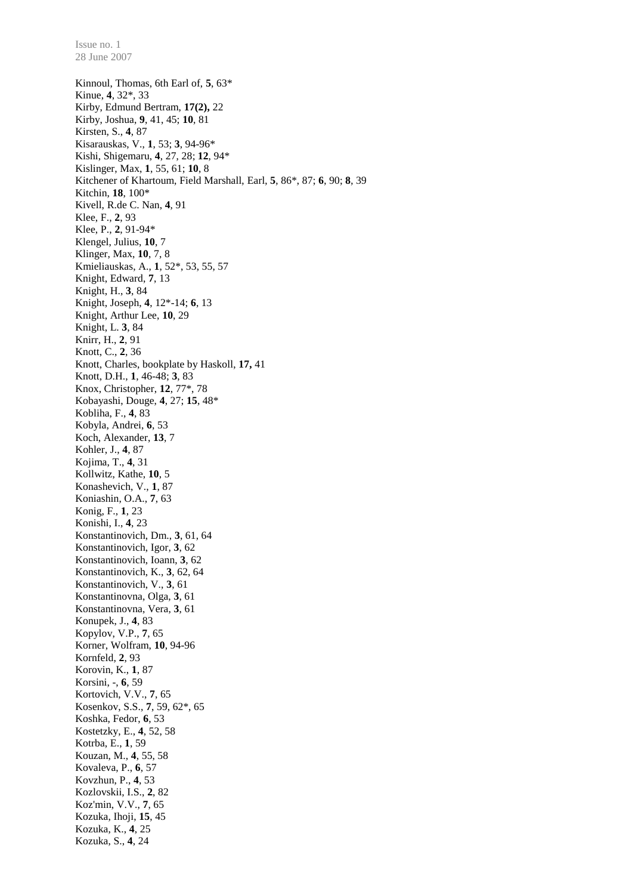Kinnoul, Thomas, 6th Earl of, **5**, 63\* Kinue, **4**, 32\*, 33 Kirby, Edmund Bertram, **17(2),** 22 Kirby, Joshua, **9**, 41, 45; **10**, 81 Kirsten, S., **4**, 87 Kisarauskas, V., **1**, 53; **3**, 94-96\* Kishi, Shigemaru, **4**, 27, 28; **12**, 94\* Kislinger, Max, **1**, 55, 61; **10**, 8 Kitchener of Khartoum, Field Marshall, Earl, **5**, 86\*, 87; **6**, 90; **8**, 39 Kitchin, **18**, 100\* Kivell, R.de C. Nan, **4**, 91 Klee, F., **2**, 93 Klee, P., **2**, 91-94\* Klengel, Julius, **10**, 7 Klinger, Max, **10**, 7, 8 Kmieliauskas, A., **1**, 52\*, 53, 55, 57 Knight, Edward, **7**, 13 Knight, H., **3**, 84 Knight, Joseph, **4**, 12\*-14; **6**, 13 Knight, Arthur Lee, **10**, 29 Knight, L. **3**, 84 Knirr, H., **2**, 91 Knott, C., **2**, 36 Knott, Charles, bookplate by Haskoll, **17,** 41 Knott, D.H., **1**, 46-48; **3**, 83 Knox, Christopher, **12**, 77\*, 78 Kobayashi, Douge, **4**, 27; **15**, 48\* Kobliha, F., **4**, 83 Kobyla, Andrei, **6**, 53 Koch, Alexander, **13**, 7 Kohler, J., **4**, 87 Kojima, T., **4**, 31 Kollwitz, Kathe, **10**, 5 Konashevich, V., **1**, 87 Koniashin, O.A., **7**, 63 Konig, F., **1**, 23 Konishi, I., **4**, 23 Konstantinovich, Dm., **3**, 61, 64 Konstantinovich, Igor, **3**, 62 Konstantinovich, Ioann, **3**, 62 Konstantinovich, K., **3**, 62, 64 Konstantinovich, V., **3**, 61 Konstantinovna, Olga, **3**, 61 Konstantinovna, Vera, **3**, 61 Konupek, J., **4**, 83 Kopylov, V.P., **7**, 65 Korner, Wolfram, **10**, 94-96 Kornfeld, **2**, 93 Korovin, K., **1**, 87 Korsini, -, **6**, 59 Kortovich, V.V., **7**, 65 Kosenkov, S.S., **7**, 59, 62\*, 65 Koshka, Fedor, **6**, 53 Kostetzky, E., **4**, 52, 58 Kotrba, E., **1**, 59 Kouzan, M., **4**, 55, 58 Kovaleva, P., **6**, 57 Kovzhun, P., **4**, 53 Kozlovskii, I.S., **2**, 82 Koz'min, V.V., **7**, 65 Kozuka, Ihoji, **15**, 45 Kozuka, K., **4**, 25 Kozuka, S., **4**, 24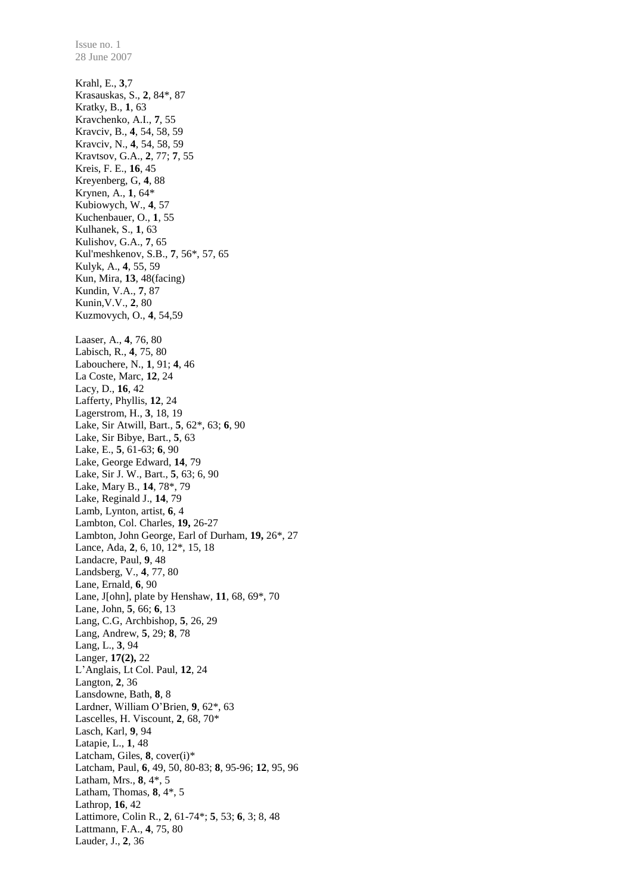Issue no. 1 28 June 2007 Krahl, E., **3**,7 Krasauskas, S., **2**, 84\*, 87 Kratky, B., **1**, 63 Kravchenko, A.I., **7**, 55 Kravciv, B., **4**, 54, 58, 59 Kravciv, N., **4**, 54, 58, 59 Kravtsov, G.A., **2**, 77; **7**, 55 Kreis, F. E., **16**, 45 Kreyenberg, G, **4**, 88 Krynen, A., **1**, 64\* Kubiowych, W., **4**, 57 Kuchenbauer, O., **1**, 55 Kulhanek, S., **1**, 63 Kulishov, G.A., **7**, 65 Kul'meshkenov, S.B., **7**, 56\*, 57, 65 Kulyk, A., **4**, 55, 59 Kun, Mira, **13**, 48(facing) Kundin, V.A., **7**, 87 Kunin,V.V., **2**, 80 Kuzmovych, O., **4**, 54,59 Laaser, A., **4**, 76, 80 Labisch, R., **4**, 75, 80 Labouchere, N., **1**, 91; **4**, 46 La Coste, Marc, **12**, 24 Lacy, D., **16**, 42 Lafferty, Phyllis, **12**, 24 Lagerstrom, H., **3**, 18, 19 Lake, Sir Atwill, Bart., **5**, 62\*, 63; **6**, 90 Lake, Sir Bibye, Bart., **5**, 63 Lake, E., **5**, 61-63; **6**, 90 Lake, George Edward, **14**, 79 Lake, Sir J. W., Bart., **5**, 63; 6, 90 Lake, Mary B., **14**, 78\*, 79 Lake, Reginald J., **14**, 79 Lamb, Lynton, artist, **6**, 4 Lambton, Col. Charles, **19,** 26-27 Lambton, John George, Earl of Durham, **19,** 26\*, 27 Lance, Ada, **2**, 6, 10, 12\*, 15, 18 Landacre, Paul, **9**, 48 Landsberg, V., **4**, 77, 80 Lane, Ernald, **6**, 90 Lane, J[ohn], plate by Henshaw, **11**, 68, 69\*, 70 Lane, John, **5**, 66; **6**, 13 Lang, C.G, Archbishop, **5**, 26, 29 Lang, Andrew, **5**, 29; **8**, 78 Lang, L., **3**, 94 Langer, **17(2),** 22 L'Anglais, Lt Col. Paul, **12**, 24 Langton, **2**, 36 Lansdowne, Bath, **8**, 8 Lardner, William O'Brien, **9**, 62\*, 63 Lascelles, H. Viscount, **2**, 68, 70\* Lasch, Karl, **9**, 94 Latapie, L., **1**, 48 Latcham, Giles, 8, cover(i)\* Latcham, Paul, **6**, 49, 50, 80-83; **8**, 95-96; **12**, 95, 96 Latham, Mrs., **8**, 4\*, 5 Latham, Thomas, **8**, 4\*, 5 Lathrop, **16**, 42 Lattimore, Colin R., **2**, 61-74\*; **5**, 53; **6**, 3; 8, 48 Lattmann, F.A., **4**, 75, 80 Lauder, J., **2**, 36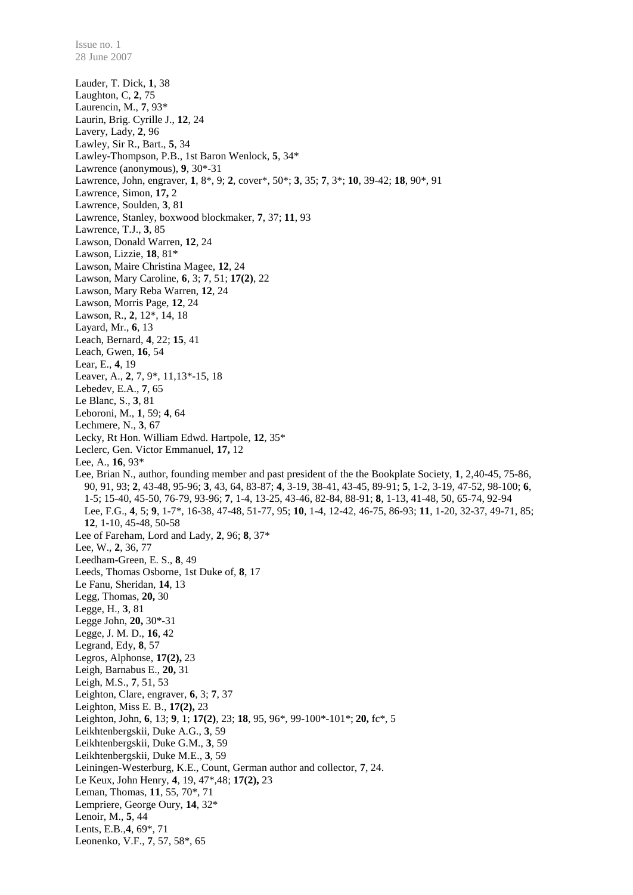Lauder, T. Dick, **1**, 38 Laughton, C, **2**, 75 Laurencin, M., **7**, 93\* Laurin, Brig. Cyrille J., **12**, 24 Lavery, Lady, **2**, 96 Lawley, Sir R., Bart., **5**, 34 Lawley-Thompson, P.B., 1st Baron Wenlock, **5**, 34\* Lawrence (anonymous), **9**, 30\*-31 Lawrence, John, engraver, **1**, 8\*, 9; **2**, cover\*, 50\*; **3**, 35; **7**, 3\*; **10**, 39-42; **18**, 90\*, 91 Lawrence, Simon, **17,** 2 Lawrence, Soulden, **3**, 81 Lawrence, Stanley, boxwood blockmaker, **7**, 37; **11**, 93 Lawrence, T.J., **3**, 85 Lawson, Donald Warren, **12**, 24 Lawson, Lizzie, **18**, 81\* Lawson, Maire Christina Magee, **12**, 24 Lawson, Mary Caroline, **6**, 3; **7**, 51; **17(2)**, 22 Lawson, Mary Reba Warren, **12**, 24 Lawson, Morris Page, **12**, 24 Lawson, R., **2**, 12\*, 14, 18 Layard, Mr., **6**, 13 Leach, Bernard, **4**, 22; **15**, 41 Leach, Gwen, **16**, 54 Lear, E., **4**, 19 Leaver, A., **2**, 7, 9\*, 11*,*13\*-15, 18 Lebedev, E.A., **7**, 65 Le Blanc, S., **3**, 81 Leboroni, M., **1**, 59; **4**, 64 Lechmere, N., **3**, 67 Lecky, Rt Hon. William Edwd. Hartpole, **12**, 35\* Leclerc, Gen. Victor Emmanuel, **17,** 12 Lee, A., **16**, 93\* Lee, Brian N., author, founding member and past president of the the Bookplate Society, **1**, 2,40-45, 75-86, 90, 91, 93; **2**, 43-48, 95-96; **3**, 43, 64, 83-87; **4**, 3-19, 38-41, 43-45, 89-91; **5**, 1-2, 3-19, 47-52, 98-100; **6**, 1-5; 15-40, 45-50, 76-79, 93-96; **7**, 1-4, 13-25, 43-46, 82-84, 88-91; **8**, 1-13, 41-48, 50, 65-74, 92-94 Lee, F.G., **4**, 5; **9**, 1-7\*, 16-38, 47-48, 51-77, 95; **10**, 1-4, 12-42, 46-75, 86-93; **11**, 1-20, 32-37, 49-71, 85; **12**, 1-10, 45-48, 50-58 Lee of Fareham, Lord and Lady, **2**, 96; **8**, 37\* Lee, W., **2**, 36, 77 Leedham-Green, E. S., **8**, 49 Leeds, Thomas Osborne, 1st Duke of, **8**, 17 Le Fanu, Sheridan, **14**, 13 Legg, Thomas, **20,** 30 Legge, H., **3**, 81 Legge John, **20,** 30\*-31 Legge, J. M. D., **16**, 42 Legrand, Edy, **8**, 57 Legros, Alphonse, **17(2),** 23 Leigh, Barnabus E., **20,** 31 Leigh, M.S., **7**, 51, 53 Leighton, Clare, engraver, **6**, 3; **7**, 37 Leighton, Miss E. B., **17(2),** 23 Leighton, John, **6**, 13; **9**, 1; **17(2)**, 23; **18**, 95, 96\*, 99-100\*-101\*; **20,** fc\*, 5 Leikhtenbergskii, Duke A.G., **3**, 59 Leikhtenbergskii, Duke G.M., **3**, 59 Leikhtenbergskii, Duke M.E., **3**, 59 Leiningen-Westerburg, K.E., Count, German author and collector, **7**, 24. Le Keux, John Henry, **4**, 19, 47\*,48; **17(2),** 23 Leman, Thomas, **11**, 55, 70\*, 71 Lempriere, George Oury, **14**, 32\* Lenoir, M., **5**, 44 Lents, E.B.,**4**, 69\*, 71 Leonenko, V.F., **7**, 57, 58\*, 65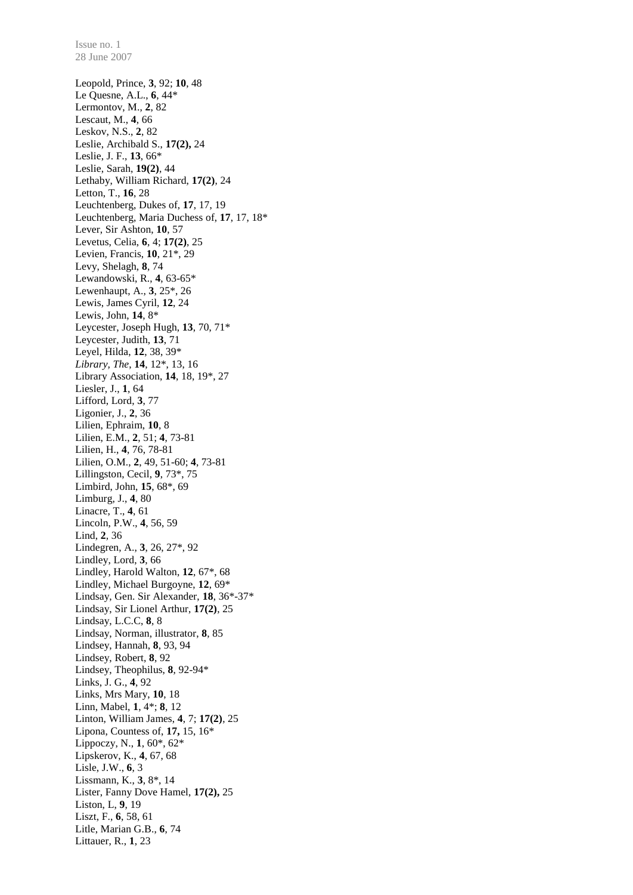28 June 2007 Leopold, Prince, **3**, 92; **10**, 48 Le Quesne, A.L., **6**, 44\* Lermontov, M., **2**, 82 Lescaut, M., **4**, 66 Leskov, N.S., **2**, 82 Leslie, Archibald S., **17(2),** 24 Leslie, J. F., **13**, 66\* Leslie, Sarah, **19(2)**, 44 Lethaby, William Richard, **17(2)**, 24 Letton, T., **16**, 28 Leuchtenberg, Dukes of, **17**, 17, 19 Leuchtenberg, Maria Duchess of, **17**, 17, 18\* Lever, Sir Ashton, **10**, 57 Levetus, Celia, **6**, 4; **17(2)**, 25 Levien, Francis, **10**, 21\*, 29 Levy, Shelagh, **8**, 74 Lewandowski, R., **4**, 63-65\* Lewenhaupt, A., **3**, 25\*, 26 Lewis, James Cyril, **12**, 24 Lewis, John, **14**, 8\* Leycester, Joseph Hugh, **13**, 70, 71\* Leycester, Judith, **13**, 71 Leyel, Hilda, **12**, 38, 39\* *Library, The*, **14**, 12\*, 13, 16 Library Association, **14**, 18, 19\*, 27 Liesler, J., **1**, 64 Lifford, Lord, **3**, 77 Ligonier, J., **2**, 36 Lilien, Ephraim, **10**, 8 Lilien, E.M., **2**, 51; **4**, 73-81 Lilien, H., **4**, 76, 78-81 Lilien, O.M., **2**, 49, 51-60; **4**, 73-81 Lillingston, Cecil, **9**, 73\*, 75 Limbird, John, **15**, 68\*, 69 Limburg, J., **4**, 80 Linacre, T., **4**, 61 Lincoln, P.W., **4**, 56, 59 Lind, **2**, 36 Lindegren, A., **3**, 26, 27\*, 92 Lindley, Lord, **3**, 66 Lindley, Harold Walton, **12**, 67\*, 68 Lindley, Michael Burgoyne, **12**, 69\* Lindsay, Gen. Sir Alexander, **18**, 36\*-37\* Lindsay, Sir Lionel Arthur, **17(2)**, 25 Lindsay, L.C.C, **8**, 8 Lindsay, Norman, illustrator, **8**, 85 Lindsey, Hannah, **8**, 93, 94 Lindsey, Robert, **8**, 92 Lindsey, Theophilus, **8**, 92-94\* Links, J. G., **4**, 92 Links, Mrs Mary, **10**, 18 Linn, Mabel, **1**, 4\*; **8**, 12 Linton, William James, **4**, 7; **17(2)**, 25 Lipona, Countess of, **17,** 15, 16\* Lippoczy, N., **1**, 60\*, 62\* Lipskerov, K., **4**, 67, 68 Lisle, J.W., **6**, 3 Lissmann, K., **3**, 8\*, 14 Lister, Fanny Dove Hamel, **17(2),** 25 Liston, L, **9**, 19 Liszt, F., **6**, 58, 61 Litle, Marian G.B., **6**, 74 Littauer, R., **1**, 23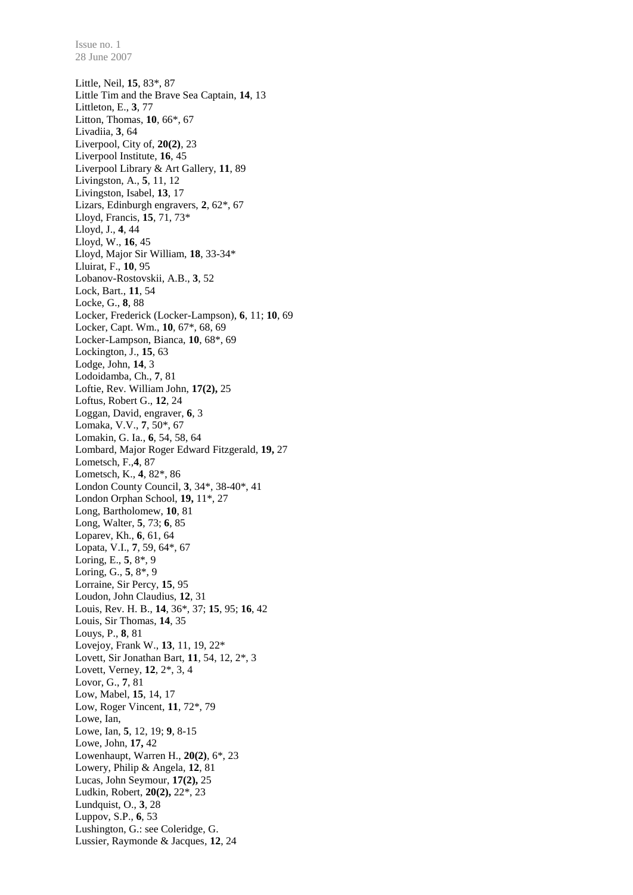Little, Neil, **15**, 83\*, 87 Little Tim and the Brave Sea Captain, **14**, 13 Littleton, E., **3**, 77 Litton, Thomas, **10**, 66\*, 67 Livadiia, **3**, 64 Liverpool, City of, **20(2)**, 23 Liverpool Institute, **16**, 45 Liverpool Library & Art Gallery, **11**, 89 Livingston, A., **5**, 11, 12 Livingston, Isabel, **13**, 17 Lizars, Edinburgh engravers, **2**, 62\*, 67 Lloyd, Francis, **15**, 71, 73\* Lloyd, J., **4**, 44 Lloyd, W., **16**, 45 Lloyd, Major Sir William, **18**, 33-34\* Lluirat, F., **10**, 95 Lobanov-Rostovskii, A.B., **3**, 52 Lock, Bart., **11**, 54 Locke, G., **8**, 88 Locker, Frederick (Locker-Lampson), **6**, 11; **10**, 69 Locker, Capt. Wm., **10**, 67\*, 68, 69 Locker-Lampson, Bianca, **10**, 68\*, 69 Lockington, J., **15**, 63 Lodge, John, **14**, 3 Lodoidamba, Ch., **7**, 81 Loftie, Rev. William John, **17(2),** 25 Loftus, Robert G., **12**, 24 Loggan, David, engraver, **6**, 3 Lomaka, V.V., **7**, 50\*, 67 Lomakin, G. Ia., **6**, 54, 58, 64 Lombard, Major Roger Edward Fitzgerald, **19,** 27 Lometsch, F.,**4**, 87 Lometsch, K., **4**, 82\*, 86 London County Council, **3**, 34\*, 38-40\*, 41 London Orphan School, **19,** 11\*, 27 Long, Bartholomew, **10**, 81 Long, Walter, **5**, 73; **6**, 85 Loparev, Kh., **6**, 61, 64 Lopata, V.I., **7**, 59, 64\*, 67 Loring, E., **5**, 8\*, 9 Loring, G., **5**, 8\*, 9 Lorraine, Sir Percy, **15**, 95 Loudon, John Claudius, **12**, 31 Louis, Rev. H. B., **14**, 36\*, 37; **15**, 95; **16**, 42 Louis, Sir Thomas, **14**, 35 Louys, P., **8**, 81 Lovejoy, Frank W., **13**, 11, 19, 22\* Lovett, Sir Jonathan Bart, **11**, 54, 12, 2\*, 3 Lovett, Verney, **12**, 2\*, 3, 4 Lovor, G., **7**, 81 Low, Mabel, **15**, 14, 17 Low, Roger Vincent, **11**, 72\*, 79 Lowe, Ian, Lowe, Ian, **5**, 12, 19; **9**, 8-15 Lowe, John, **17,** 42 Lowenhaupt, Warren H., **20(2)**, 6\*, 23 Lowery, Philip & Angela, **12**, 81 Lucas, John Seymour, **17(2),** 25 Ludkin, Robert, **20(2),** 22\*, 23 Lundquist, O., **3**, 28 Luppov, S.P., **6**, 53 Lushington, G.: see Coleridge, G. Lussier, Raymonde & Jacques, **12**, 24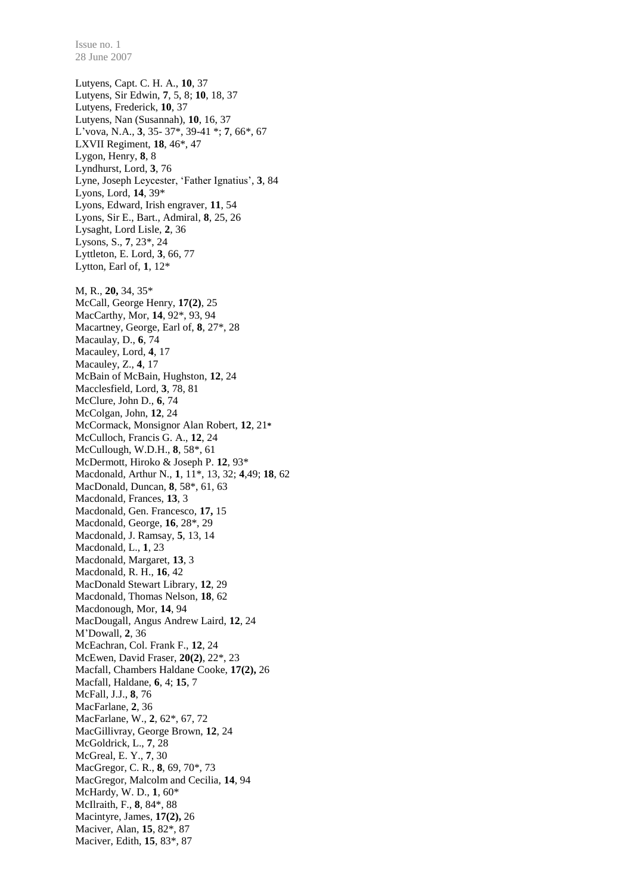Lutyens, Capt. C. H. A., **10**, 37 Lutyens, Sir Edwin, **7**, 5, 8; **10**, 18, 37 Lutyens, Frederick, **10**, 37 Lutyens, Nan (Susannah), **10**, 16, 37 L'vova, N.A., **3**, 35- 37\*, 39-41 \*; **7**, 66\*, 67 LXVII Regiment, **18**, 46\*, 47 Lygon, Henry, **8**, 8 Lyndhurst, Lord, **3**, 76 Lyne, Joseph Leycester, 'Father Ignatius', **3**, 84 Lyons, Lord, **14**, 39\* Lyons, Edward, Irish engraver, **11**, 54 Lyons, Sir E., Bart., Admiral, **8**, 25, 26 Lysaght, Lord Lisle, **2**, 36 Lysons, S., **7**, 23\*, 24 Lyttleton, E. Lord, **3**, 66, 77 Lytton, Earl of, **1**, 12\* M, R., **20,** 34, 35\* McCall, George Henry, **17(2)**, 25 MacCarthy, Mor, **14**, 92\*, 93, 94 Macartney, George, Earl of, **8**, 27\*, 28 Macaulay, D., **6**, 74 Macauley, Lord, **4**, 17 Macauley, Z., **4**, 17 McBain of McBain, Hughston, **12**, 24 Macclesfield, Lord, **3**, 78, 81 McClure, John D., **6**, 74 McColgan, John, **12**, 24 McCormack, Monsignor Alan Robert, **12**, 21**\*** McCulloch, Francis G. A., **12**, 24 McCullough, W.D.H., **8**, 58\*, 61 McDermott, Hiroko & Joseph P. **12**, 93\* Macdonald, Arthur N., **1**, 11\*, 13, 32; **4**,49; **18**, 62 MacDonald, Duncan, **8**, 58\*, 61, 63 Macdonald, Frances, **13**, 3 Macdonald, Gen. Francesco, **17,** 15 Macdonald, George, **16**, 28\*, 29 Macdonald, J. Ramsay, **5**, 13, 14 Macdonald, L., **1**, 23 Macdonald, Margaret, **13**, 3 Macdonald, R. H., **16**, 42 MacDonald Stewart Library, **12**, 29 Macdonald, Thomas Nelson, **18**, 62 Macdonough, Mor, **14**, 94 MacDougall, Angus Andrew Laird, **12**, 24 M'Dowall, **2**, 36 McEachran, Col. Frank F., **12**, 24 McEwen, David Fraser, **20(2)**, 22\*, 23 Macfall, Chambers Haldane Cooke, **17(2),** 26 Macfall, Haldane, **6**, 4; **15**, 7 McFall, J.J., **8**, 76 MacFarlane, **2**, 36 MacFarlane, W., **2**, 62\*, 67, 72 MacGillivray, George Brown, **12**, 24 McGoldrick, L., **7**, 28 McGreal, E. Y., **7**, 30 MacGregor, C. R., **8**, 69, 70\*, 73 MacGregor, Malcolm and Cecilia, **14**, 94 McHardy, W. D., **1**, 60\* McIlraith, F., **8**, 84\*, 88 Macintyre, James, **17(2),** 26 Maciver, Alan, **15**, 82\*, 87 Maciver, Edith, **15**, 83\*, 87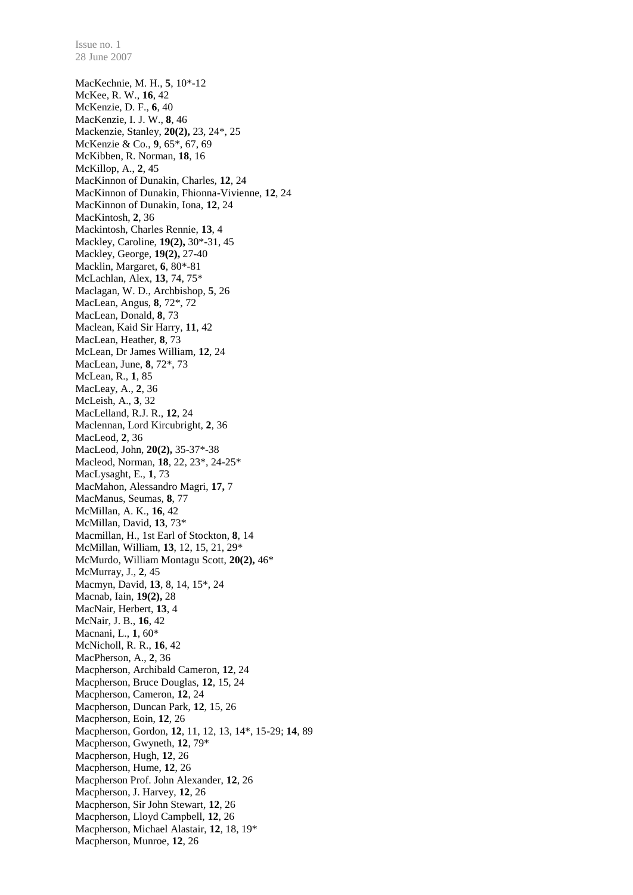MacKechnie, M. H., **5**, 10\*-12 McKee, R. W., **16**, 42 McKenzie, D. F., **6**, 40 MacKenzie, I. J. W., **8**, 46 Mackenzie, Stanley, **20(2),** 23, 24\*, 25 McKenzie & Co., **9**, 65\*, 67, 69 McKibben, R. Norman, **18**, 16 McKillop, A., **2**, 45 MacKinnon of Dunakin, Charles, **12**, 24 MacKinnon of Dunakin, Fhionna-Vivienne, **12**, 24 MacKinnon of Dunakin, Iona, **12**, 24 MacKintosh, **2**, 36 Mackintosh, Charles Rennie, **13**, 4 Mackley, Caroline, **19(2),** 30\*-31, 45 Mackley, George, **19(2),** 27-40 Macklin, Margaret, **6**, 80\*-81 McLachlan, Alex, **13**, 74, 75\* Maclagan, W. D., Archbishop, **5**, 26 MacLean, Angus, **8**, 72\*, 72 MacLean, Donald, **8**, 73 Maclean, Kaid Sir Harry, **11**, 42 MacLean, Heather, **8**, 73 McLean, Dr James William, **12**, 24 MacLean, June, **8**, 72\*, 73 McLean, R., **1**, 85 MacLeay, A., **2**, 36 McLeish, A., **3**, 32 MacLelland, R.J. R., **12**, 24 Maclennan, Lord Kircubright, **2**, 36 MacLeod, **2**, 36 MacLeod, John, **20(2),** 35-37\*-38 Macleod, Norman, **18**, 22, 23\*, 24-25\* MacLysaght, E., **1**, 73 MacMahon, Alessandro Magri, **17,** 7 MacManus, Seumas, **8**, 77 McMillan, A. K., **16**, 42 McMillan, David, **13**, 73\* Macmillan, H., 1st Earl of Stockton, **8**, 14 McMillan, William, **13**, 12, 15, 21, 29\* McMurdo, William Montagu Scott, **20(2),** 46\* McMurray, J., **2**, 45 Macmyn, David, **13**, 8, 14, 15\*, 24 Macnab, Iain, **19(2),** 28 MacNair, Herbert, **13**, 4 McNair, J. B., **16**, 42 Macnani, L., **1**, 60\* McNicholl, R. R., **16**, 42 MacPherson, A., **2**, 36 Macpherson, Archibald Cameron, **12**, 24 Macpherson, Bruce Douglas, **12**, 15, 24 Macpherson, Cameron, **12**, 24 Macpherson, Duncan Park, **12**, 15, 26 Macpherson, Eoin, **12**, 26 Macpherson, Gordon, **12**, 11, 12, 13, 14\*, 15-29; **14**, 89 Macpherson, Gwyneth, **12**, 79\* Macpherson, Hugh, **12**, 26 Macpherson, Hume, **12**, 26 Macpherson Prof. John Alexander, **12**, 26 Macpherson, J. Harvey, **12**, 26 Macpherson, Sir John Stewart, **12**, 26 Macpherson, Lloyd Campbell, **12**, 26 Macpherson, Michael Alastair, **12**, 18, 19\* Macpherson, Munroe, **12**, 26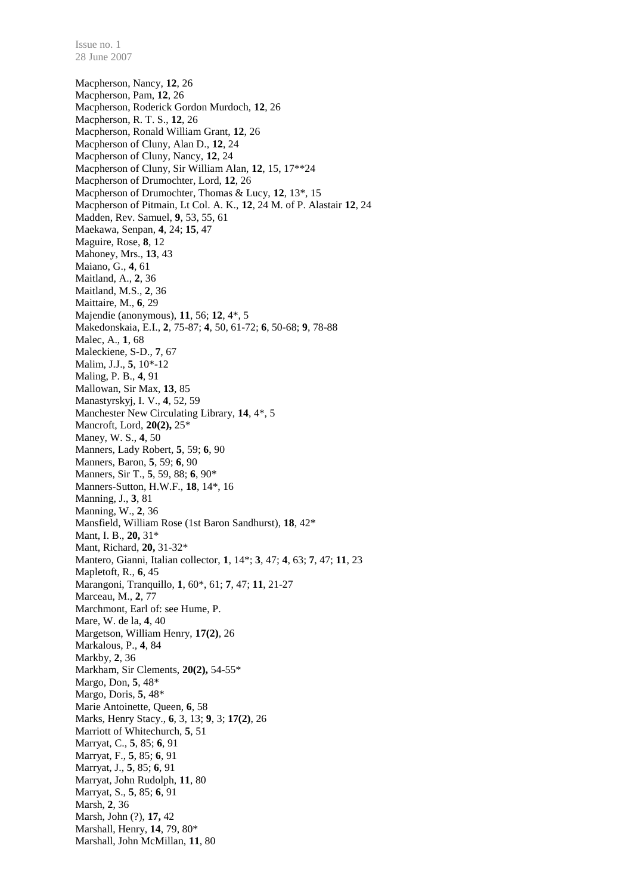Macpherson, Nancy, **12**, 26 Macpherson, Pam, **12**, 26 Macpherson, Roderick Gordon Murdoch, **12**, 26 Macpherson, R. T. S., **12**, 26 Macpherson, Ronald William Grant, **12**, 26 Macpherson of Cluny, Alan D., **12**, 24 Macpherson of Cluny, Nancy, **12**, 24 Macpherson of Cluny, Sir William Alan, **12**, 15, 17\*\*24 Macpherson of Drumochter, Lord, **12**, 26 Macpherson of Drumochter, Thomas & Lucy, **12**, 13\*, 15 Macpherson of Pitmain, Lt Col. A. K., **12**, 24 M. of P. Alastair **12**, 24 Madden, Rev. Samuel, **9**, 53, 55, 61 Maekawa, Senpan, **4**, 24; **15**, 47 Maguire, Rose, **8**, 12 Mahoney, Mrs., **13**, 43 Maiano, G., **4**, 61 Maitland, A., **2**, 36 Maitland, M.S., **2**, 36 Maittaire, M., **6**, 29 Majendie (anonymous), **11**, 56; **12**, 4\*, 5 Makedonskaia, E.I., **2**, 75-87; **4**, 50, 61-72; **6**, 50-68; **9**, 78-88 Malec, A., **1**, 68 Maleckiene, S-D., **7**, 67 Malim, J.J., **5**, 10\*-12 Maling, P. B., **4**, 91 Mallowan, Sir Max, **13**, 85 Manastyrskyj, I. V., **4**, 52, 59 Manchester New Circulating Library, **14**, 4\*, 5 Mancroft, Lord, **20(2),** 25\* Maney, W. S., **4**, 50 Manners, Lady Robert, **5**, 59; **6**, 90 Manners, Baron, **5**, 59; **6**, 90 Manners, Sir T., **5**, 59, 88; **6**, 90\* Manners-Sutton, H.W.F., **18**, 14\*, 16 Manning, J., **3**, 81 Manning, W., **2**, 36 Mansfield, William Rose (1st Baron Sandhurst), **18**, 42\* Mant, I. B., **20,** 31\* Mant, Richard, **20,** 31-32\* Mantero, Gianni, Italian collector, **1**, 14\*; **3**, 47; **4**, 63; **7**, 47; **11**, 23 Mapletoft, R., **6**, 45 Marangoni, Tranquillo, **1**, 60\*, 61; **7**, 47; **11**, 21-27 Marceau, M., **2**, 77 Marchmont, Earl of: see Hume, P. Mare, W. de la, **4**, 40 Margetson, William Henry, **17(2)**, 26 Markalous, P., **4**, 84 Markby, **2**, 36 Markham, Sir Clements, **20(2),** 54-55\* Margo, Don, **5**, 48\* Margo, Doris, **5**, 48\* Marie Antoinette, Queen, **6**, 58 Marks, Henry Stacy., **6**, 3, 13; **9**, 3; **17(2)**, 26 Marriott of Whitechurch, **5**, 51 Marryat, C., **5**, 85; **6**, 91 Marryat, F., **5**, 85; **6**, 91 Marryat, J., **5**, 85; **6**, 91 Marryat, John Rudolph, **11**, 80 Marryat, S., **5**, 85; **6**, 91 Marsh, **2**, 36 Marsh, John (?), **17,** 42 Marshall, Henry, **14**, 79, 80\* Marshall, John McMillan, **11**, 80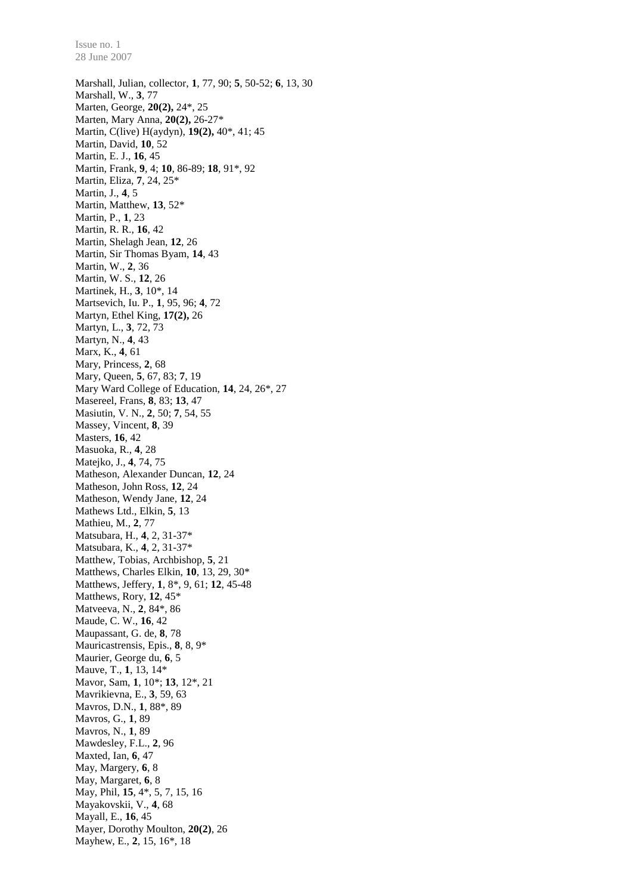Marshall, Julian, collector, **1**, 77, 90; **5**, 50-52; **6**, 13, 30 Marshall, W., **3**, 77 Marten, George, **20(2),** 24\*, 25 Marten, Mary Anna, **20(2),** 26-27\* Martin, C(live) H(aydyn), **19(2),** 40\*, 41; 45 Martin, David, **10**, 52 Martin, E. J., **16**, 45 Martin, Frank, **9**, 4; **10**, 86-89; **18**, 91\*, 92 Martin, Eliza, **7**, 24, 25\* Martin, J., **4**, 5 Martin, Matthew, **13**, 52\* Martin, P., **1**, 23 Martin, R. R., **16**, 42 Martin, Shelagh Jean, **12**, 26 Martin, Sir Thomas Byam, **14**, 43 Martin, W., **2**, 36 Martin, W. S., **12**, 26 Martinek, H., **3**, 10\*, 14 Martsevich, Iu. P., **1**, 95, 96; **4**, 72 Martyn, Ethel King, **17(2),** 26 Martyn, L., **3**, 72, 73 Martyn, N., **4**, 43 Marx, K., **4**, 61 Mary, Princess, **2**, 68 Mary, Queen, **5**, 67, 83; **7**, 19 Mary Ward College of Education, **14**, 24, 26\*, 27 Masereel, Frans, **8**, 83; **13**, 47 Masiutin, V. N., **2**, 50; **7**, 54, 55 Massey, Vincent, **8**, 39 Masters, **16**, 42 Masuoka, R., **4**, 28 Matejko, J., **4**, 74, 75 Matheson, Alexander Duncan, **12**, 24 Matheson, John Ross, **12**, 24 Matheson, Wendy Jane, **12**, 24 Mathews Ltd., Elkin, **5**, 13 Mathieu, M., **2**, 77 Matsubara, H., **4**, 2, 31-37\* Matsubara, K., **4**, 2, 31-37\* Matthew, Tobias, Archbishop, **5**, 21 Matthews, Charles Elkin, **10**, 13, 29, 30\* Matthews, Jeffery, **1**, 8\*, 9, 61; **12**, 45-48 Matthews, Rory, **12**, 45\* Matveeva, N., **2**, 84\*, 86 Maude, C. W., **16**, 42 Maupassant, G. de, **8**, 78 Mauricastrensis, Epis., **8**, 8, 9\* Maurier, George du, **6**, 5 Mauve, T., **1**, 13, 14\* Mavor, Sam, **1**, 10\*; **13**, 12\*, 21 Mavrikievna, E., **3**, 59, 63 Mavros, D.N., **1**, 88\*, 89 Mavros, G., **1**, 89 Mavros, N., **1**, 89 Mawdesley, F.L., **2**, 96 Maxted, Ian, **6**, 47 May, Margery, **6**, 8 May, Margaret, **6**, 8 May, Phil, **15**, 4\*, 5, 7, 15, 16 Mayakovskii, V., **4**, 68 Mayall, E., **16**, 45 Mayer, Dorothy Moulton, **20(2)**, 26 Mayhew, E., **2**, 15, 16\*, 18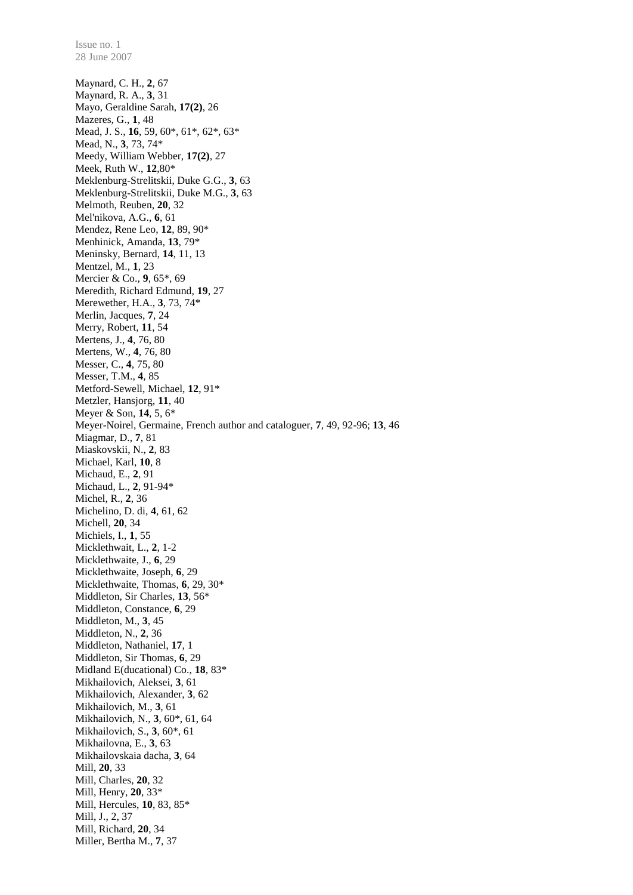Maynard, C. H., **2**, 67 Maynard, R. A., **3**, 31 Mayo, Geraldine Sarah, **17(2)**, 26 Mazeres, G., **1**, 48 Mead, J. S., **16**, 59, 60\*, 61\*, 62\*, 63\* Mead, N., **3**, 73, 74\* Meedy, William Webber, **17(2)**, 27 Meek, Ruth W., **12**,80\* Meklenburg-Strelitskii, Duke G.G., **3**, 63 Meklenburg-Strelitskii, Duke M.G., **3**, 63 Melmoth, Reuben, **20**, 32 Mel'nikova, A.G., **6**, 61 Mendez, Rene Leo, **12**, 89, 90\* Menhinick, Amanda, **13**, 79\* Meninsky, Bernard, **14**, 11, 13 Mentzel, M., **1**, 23 Mercier & Co., **9**, 65\*, 69 Meredith, Richard Edmund, **19**, 27 Merewether, H.A., **3**, 73, 74\* Merlin, Jacques, **7**, 24 Merry, Robert, **11**, 54 Mertens, J., **4**, 76, 80 Mertens, W., **4**, 76, 80 Messer, C., **4**, 75, 80 Messer, T.M., **4**, 85 Metford-Sewell, Michael, **12**, 91\* Metzler, Hansjorg, **11**, 40 Meyer & Son, **14**, 5, 6\* Meyer-Noirel, Germaine, French author and cataloguer, **7**, 49, 92-96; **13**, 46 Miagmar, D., **7**, 81 Miaskovskii, N., **2**, 83 Michael, Karl, **10**, 8 Michaud, E., **2**, 91 Michaud, L., **2**, 91-94\* Michel, R., **2**, 36 Michelino, D. di, **4**, 61, 62 Michell, **20**, 34 Michiels, I., **1**, 55 Micklethwait, L., **2**, 1-2 Micklethwaite, J., **6**, 29 Micklethwaite, Joseph, **6**, 29 Micklethwaite, Thomas, **6**, 29, 30\* Middleton, Sir Charles, **13**, 56\* Middleton, Constance, **6**, 29 Middleton, M., **3**, 45 Middleton, N., **2**, 36 Middleton, Nathaniel, **17**, 1 Middleton, Sir Thomas, **6**, 29 Midland E(ducational) Co., **18**, 83\* Mikhailovich, Aleksei, **3**, 61 Mikhailovich, Alexander, **3**, 62 Mikhailovich, M., **3**, 61 Mikhailovich, N., **3**, 60\*, 61, 64 Mikhailovich, S., **3**, 60\*, 61 Mikhailovna, E., **3**, 63 Mikhailovskaia dacha, **3**, 64 Mill, **20**, 33 Mill, Charles, **20**, 32 Mill, Henry, **20**, 33\* Mill, Hercules, **10**, 83, 85\* Mill, J., 2, 37 Mill, Richard, **20**, 34 Miller, Bertha M., **7**, 37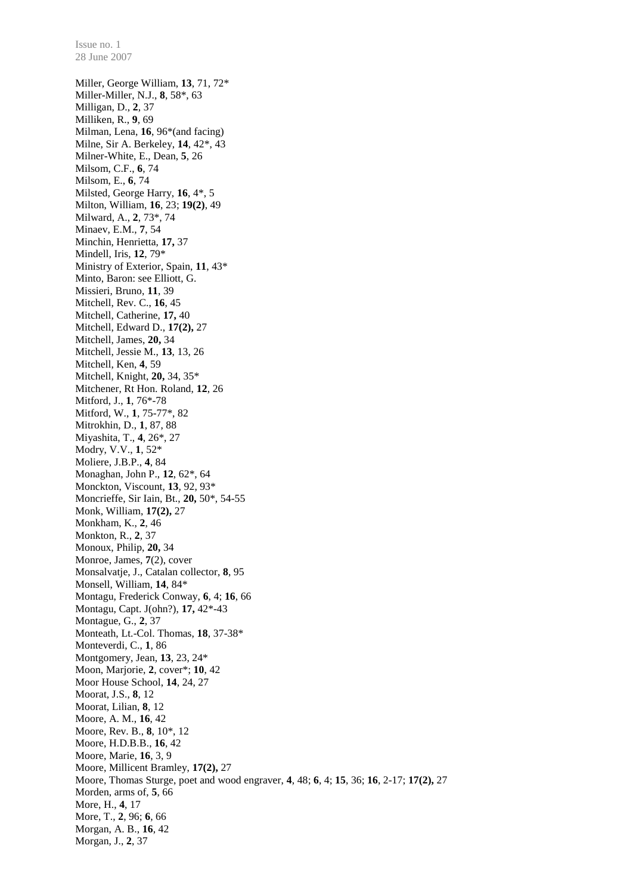28 June 2007 Miller, George William, **13**, 71, 72\* Miller-Miller, N.J., **8**, 58\*, 63 Milligan, D., **2**, 37 Milliken, R., **9**, 69 Milman, Lena, **16**, 96\*(and facing) Milne, Sir A. Berkeley, **14**, 42\*, 43 Milner-White, E., Dean, **5**, 26 Milsom, C.F., **6**, 74 Milsom, E., **6**, 74 Milsted, George Harry, **16**, 4\*, 5 Milton, William, **16**, 23; **19(2)**, 49 Milward, A., **2**, 73\*, 74 Minaev, E.M., **7**, 54 Minchin, Henrietta, **17,** 37 Mindell, Iris, **12**, 79\* Ministry of Exterior, Spain, **11**, 43\* Minto, Baron: see Elliott, G. Missieri, Bruno, **11**, 39 Mitchell, Rev. C., **16**, 45 Mitchell, Catherine, **17,** 40 Mitchell, Edward D., **17(2),** 27 Mitchell, James, **20,** 34 Mitchell, Jessie M., **13**, 13, 26 Mitchell, Ken, **4**, 59 Mitchell, Knight, **20,** 34, 35\* Mitchener, Rt Hon. Roland, **12**, 26 Mitford, J., **1**, 76\*-78 Mitford, W., **1**, 75-77\*, 82 Mitrokhin, D., **1**, 87, 88 Miyashita, T., **4**, 26\*, 27 Modry, V.V., **1**, 52\* Moliere, J.B.P., **4**, 84 Monaghan, John P., **12**, 62\*, 64 Monckton, Viscount, **13**, 92, 93\* Moncrieffe, Sir Iain, Bt., **20,** 50\*, 54-55 Monk, William, **17(2),** 27 Monkham, K., **2**, 46 Monkton, R., **2**, 37 Monoux, Philip, **20,** 34 Monroe, James, **7**(2), cover Monsalvatje, J., Catalan collector, **8**, 95 Monsell, William, **14**, 84\* Montagu, Frederick Conway, **6**, 4; **16**, 66 Montagu, Capt. J(ohn?), **17,** 42\*-43 Montague, G., **2**, 37 Monteath, Lt.-Col. Thomas, **18**, 37-38\* Monteverdi, C., **1**, 86 Montgomery, Jean, **13**, 23, 24\* Moon, Marjorie, **2**, cover\*; **10**, 42 Moor House School, **14**, 24, 27 Moorat, J.S., **8**, 12 Moorat, Lilian, **8**, 12 Moore, A. M., **16**, 42 Moore, Rev. B., **8**, 10\*, 12 Moore, H.D.B.B., **16**, 42 Moore, Marie, **16**, 3, 9 Moore, Millicent Bramley, **17(2),** 27 Moore, Thomas Sturge, poet and wood engraver, **4**, 48; **6**, 4; **15**, 36; **16**, 2-17; **17(2),** 27 Morden, arms of, **5**, 66 More, H., **4**, 17 More, T., **2**, 96; **6**, 66 Morgan, A. B., **16**, 42

Issue no. 1

Morgan, J., **2**, 37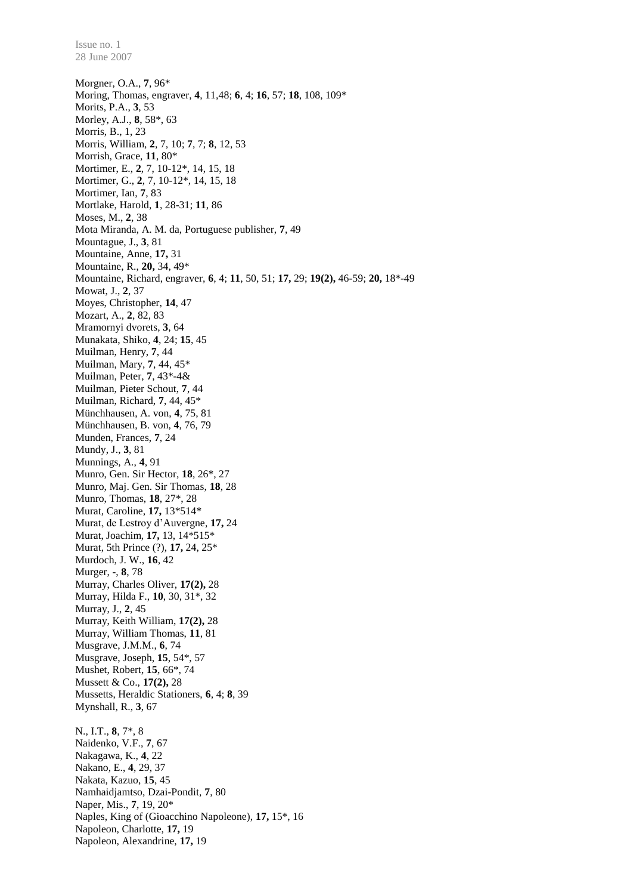Morgner, O.A., **7**, 96\* Moring, Thomas, engraver, **4**, 11,48; **6**, 4; **16**, 57; **18**, 108, 109\* Morits, P.A., **3**, 53 Morley, A.J., **8**, 58\*, 63 Morris, B., 1, 23 Morris, William, **2**, 7, 10; **7**, 7; **8**, 12, 53 Morrish, Grace, **11**, 80\* Mortimer, E., **2**, 7, 10-12\*, 14, 15, 18 Mortimer, G., **2**, 7, 10-12\*, 14, 15, 18 Mortimer, Ian, **7**, 83 Mortlake, Harold, **1**, 28-31; **11**, 86 Moses, M., **2**, 38 Mota Miranda, A. M. da, Portuguese publisher, **7**, 49 Mountague, J., **3**, 81 Mountaine, Anne, **17,** 31 Mountaine, R., **20,** 34, 49\* Mountaine, Richard, engraver, **6**, 4; **11**, 50, 51; **17,** 29; **19(2),** 46-59; **20,** 18\*-49 Mowat, J., **2**, 37 Moyes, Christopher, **14**, 47 Mozart, A., **2**, 82, 83 Mramornyi dvorets, **3**, 64 Munakata, Shiko, **4**, 24; **15**, 45 Muilman, Henry, **7**, 44 Muilman, Mary, **7**, 44, 45\* Muilman, Peter, **7**, 43\*-4& Muilman, Pieter Schout, **7**, 44 Muilman, Richard, **7**, 44, 45\* Münchhausen, A. von, **4**, 75, 81 Münchhausen, B. von, **4**, 76, 79 Munden, Frances, **7**, 24 Mundy, J., **3**, 81 Munnings, A., **4**, 91 Munro, Gen. Sir Hector, **18**, 26\*, 27 Munro, Maj. Gen. Sir Thomas, **18**, 28 Munro, Thomas, **18**, 27\*, 28 Murat, Caroline, **17,** 13\*514\* Murat, de Lestroy d'Auvergne, **17,** 24 Murat, Joachim, **17,** 13, 14\*515\* Murat, 5th Prince (?), **17,** 24, 25\* Murdoch, J. W., **16**, 42 Murger, -, **8**, 78 Murray, Charles Oliver, **17(2),** 28 Murray, Hilda F., **10**, 30, 31\*, 32 Murray, J., **2**, 45 Murray, Keith William, **17(2),** 28 Murray, William Thomas, **11**, 81 Musgrave, J.M.M., **6**, 74 Musgrave, Joseph, **15**, 54\*, 57 Mushet, Robert, **15**, 66\*, 74 Mussett & Co., **17(2),** 28 Mussetts, Heraldic Stationers, **6**, 4; **8**, 39 Mynshall, R., **3**, 67 N., I.T., **8**, 7\*, 8 Naidenko, V.F., **7**, 67 Nakagawa, K., **4**, 22 Nakano, E., **4**, 29, 37 Nakata, Kazuo, **15**, 45 Namhaidjamtso, Dzai-Pondit, **7**, 80 Naper, Mis., **7**, 19, 20\* Naples, King of (Gioacchino Napoleone), **17,** 15\*, 16 Napoleon, Charlotte, **17,** 19 Napoleon, Alexandrine, **17,** 19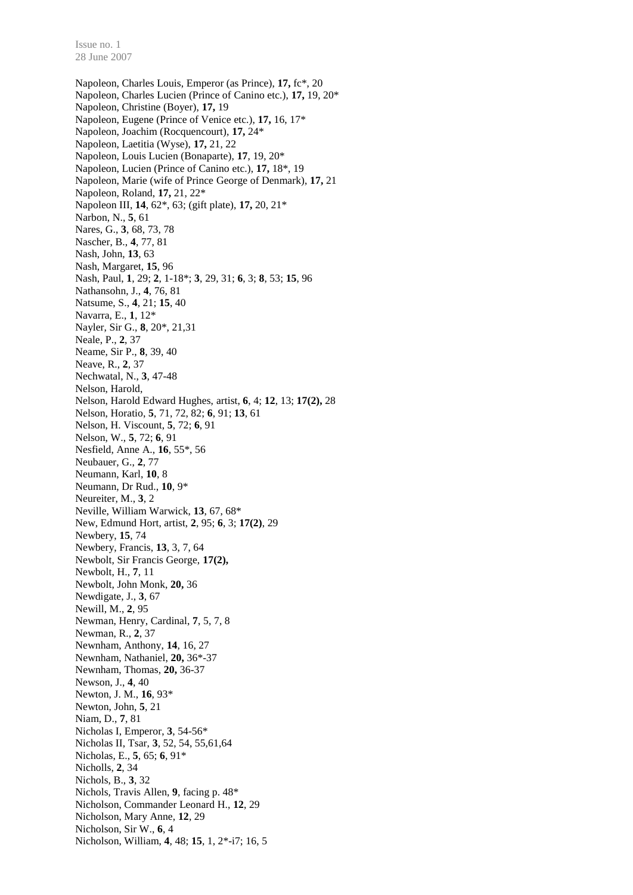Napoleon, Charles Louis, Emperor (as Prince), **17,** fc\*, 20 Napoleon, Charles Lucien (Prince of Canino etc.), **17,** 19, 20\* Napoleon, Christine (Boyer), **17,** 19 Napoleon, Eugene (Prince of Venice etc.), **17,** 16, 17\* Napoleon, Joachim (Rocquencourt), **17,** 24\* Napoleon, Laetitia (Wyse), **17,** 21, 22 Napoleon, Louis Lucien (Bonaparte), **17**, 19, 20\* Napoleon, Lucien (Prince of Canino etc.), **17,** 18\*, 19 Napoleon, Marie (wife of Prince George of Denmark), **17,** 21 Napoleon, Roland, **17,** 21, 22\* Napoleon III, **14**, 62\*, 63; (gift plate), **17,** 20, 21\* Narbon, N., **5**, 61 Nares, G., **3**, 68, 73, 78 Nascher, B., **4**, 77, 81 Nash, John, **13**, 63 Nash, Margaret, **15**, 96 Nash, Paul, **1**, 29; **2**, 1-18\*; **3**, 29, 31; **6**, 3; **8**, 53; **15**, 96 Nathansohn, J., **4**, 76, 81 Natsume, S., **4**, 21; **15**, 40 Navarra, E., **1**, 12\* Nayler, Sir G., **8**, 20\*, 21,31 Neale, P., **2**, 37 Neame, Sir P., **8**, 39, 40 Neave, R., **2**, 37 Nechwatal, N., **3**, 47-48 Nelson, Harold, Nelson, Harold Edward Hughes, artist, **6**, 4; **12**, 13; **17(2),** 28 Nelson, Horatio, **5**, 71, 72, 82; **6**, 91; **13**, 61 Nelson, H. Viscount, **5**, 72; **6**, 91 Nelson, W., **5**, 72; **6**, 91 Nesfield, Anne A., **16**, 55\*, 56 Neubauer, G., **2**, 77 Neumann, Karl, **10**, 8 Neumann, Dr Rud., **10**, 9\* Neureiter, M., **3**, 2 Neville, William Warwick, **13**, 67, 68\* New, Edmund Hort, artist, **2**, 95; **6**, 3; **17(2)**, 29 Newbery, **15**, 74 Newbery, Francis, **13**, 3, 7, 64 Newbolt, Sir Francis George, **17(2),** Newbolt, H., **7**, 11 Newbolt, John Monk, **20,** 36 Newdigate, J., **3**, 67 Newill, M., **2**, 95 Newman, Henry, Cardinal, **7**, 5, 7, 8 Newman, R., **2**, 37 Newnham, Anthony, **14**, 16, 27 Newnham, Nathaniel, **20,** 36\*-37 Newnham, Thomas, **20,** 36-37 Newson, J., **4**, 40 Newton, J. M., **16**, 93\* Newton, John, **5**, 21 Niam, D., **7**, 81 Nicholas I, Emperor, **3**, 54-56\* Nicholas II, Tsar, **3**, 52, 54, 55,61,64 Nicholas, E., **5**, 65; **6**, 91\* Nicholls, **2**, 34 Nichols, B., **3**, 32 Nichols, Travis Allen, **9**, facing p. 48\* Nicholson, Commander Leonard H., **12**, 29 Nicholson, Mary Anne, **12**, 29 Nicholson, Sir W., **6**, 4 Nicholson, William, **4**, 48; **15**, 1, 2\*-i7; 16, 5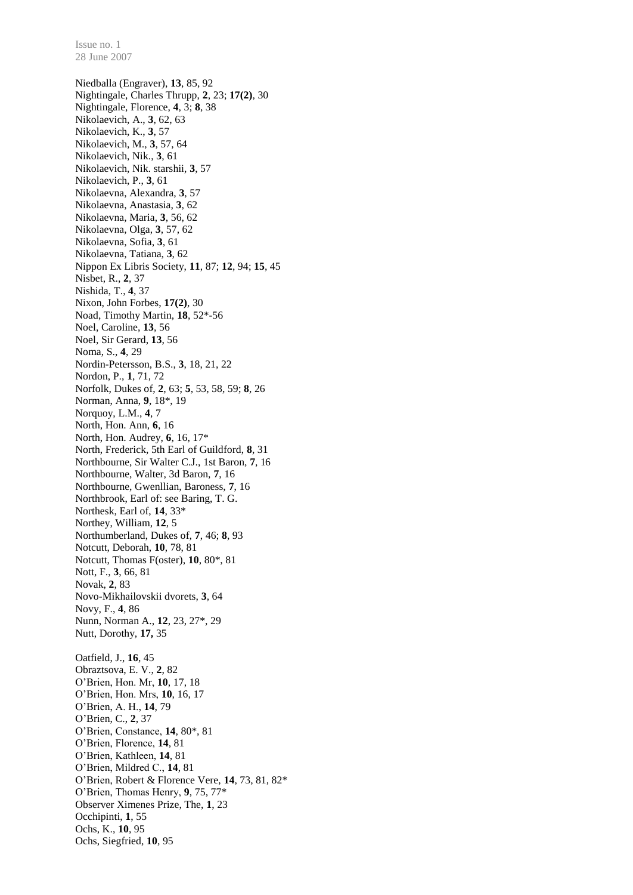Niedballa (Engraver), **13**, 85, 92 Nightingale, Charles Thrupp, **2**, 23; **17(2)**, 30 Nightingale, Florence, **4**, 3; **8**, 38 Nikolaevich, A., **3**, 62, 63 Nikolaevich, K., **3**, 57 Nikolaevich, M., **3**, 57, 64 Nikolaevich, Nik., **3**, 61 Nikolaevich, Nik. starshii, **3**, 57 Nikolaevich, P., **3**, 61 Nikolaevna, Alexandra, **3**, 57 Nikolaevna, Anastasia, **3**, 62 Nikolaevna, Maria, **3**, 56, 62 Nikolaevna, Olga, **3**, 57, 62 Nikolaevna, Sofia, **3**, 61 Nikolaevna, Tatiana, **3**, 62 Nippon Ex Libris Society, **11**, 87; **12**, 94; **15**, 45 Nisbet, R., **2**, 37 Nishida, T., **4**, 37 Nixon, John Forbes, **17(2)**, 30 Noad, Timothy Martin, **18**, 52\*-56 Noel, Caroline, **13**, 56 Noel, Sir Gerard, **13**, 56 Noma, S., **4**, 29 Nordin-Petersson, B.S., **3**, 18, 21, 22 Nordon, P., **1**, 71, 72 Norfolk, Dukes of, **2**, 63; **5**, 53, 58, 59; **8**, 26 Norman, Anna, **9**, 18\*, 19 Norquoy, L.M., **4**, 7 North, Hon. Ann, **6**, 16 North, Hon. Audrey, **6**, 16, 17\* North, Frederick, 5th Earl of Guildford, **8**, 31 Northbourne, Sir Walter C.J., 1st Baron, **7**, 16 Northbourne, Walter, 3d Baron, **7**, 16 Northbourne, Gwenllian, Baroness, **7**, 16 Northbrook, Earl of: see Baring, T. G. Northesk, Earl of, **14**, 33\* Northey, William, **12**, 5 Northumberland, Dukes of, **7**, 46; **8**, 93 Notcutt, Deborah, **10**, 78, 81 Notcutt, Thomas F(oster), **10**, 80\*, 81 Nott, F., **3**, 66, 81 Novak, **2**, 83 Novo-Mikhailovskii dvorets, **3**, 64 Novy, F., **4**, 86 Nunn, Norman A., **12**, 23, 27\*, 29 Nutt, Dorothy, **17,** 35 Oatfield, J., **16**, 45 Obraztsova, E. V., **2**, 82 O'Brien, Hon. Mr, **10**, 17, 18 O'Brien, Hon. Mrs, **10**, 16, 17 O'Brien, A. H., **14**, 79 O'Brien, C., **2**, 37 O'Brien, Constance, **14**, 80\*, 81 O'Brien, Florence, **14**, 81 O'Brien, Kathleen, **14**, 81 O'Brien, Mildred C., **14**, 81 O'Brien, Robert & Florence Vere, **14**, 73, 81, 82\* O'Brien, Thomas Henry, **9**, 75, 77\* Observer Ximenes Prize, The, **1**, 23 Occhipinti, **1**, 55 Ochs, K., **10**, 95 Ochs, Siegfried, **10**, 95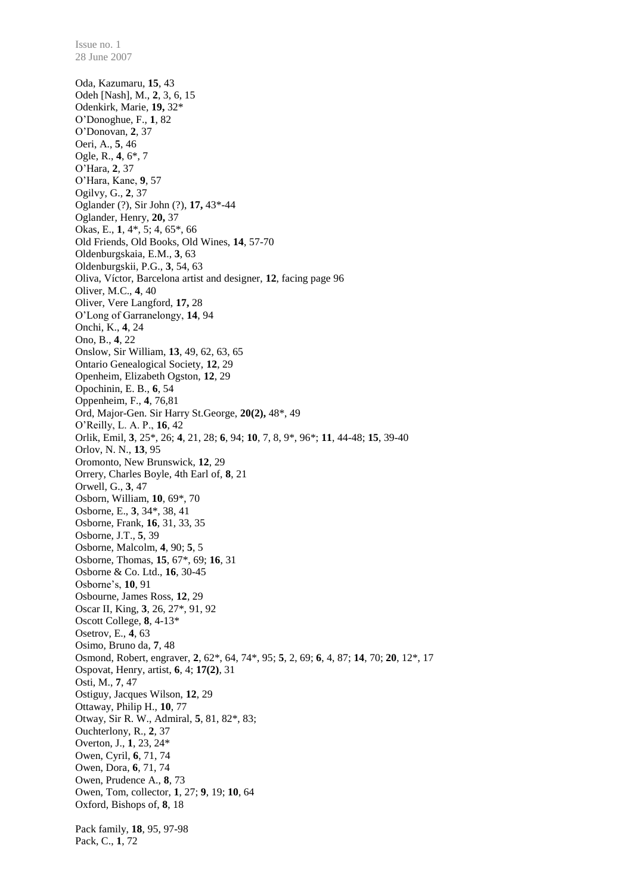28 June 2007 Oda, Kazumaru, **15**, 43 Odeh [Nash], M., **2**, 3, 6, 15 Odenkirk, Marie, **19,** 32\* O'Donoghue, F., **1**, 82 O'Donovan, **2**, 37 Oeri, A., **5**, 46 Ogle, R., **4**, 6\*, 7 O'Hara, **2**, 37 O'Hara, Kane, **9**, 57 Ogilvy, G., **2**, 37 Oglander (?), Sir John (?), **17,** 43\*-44 Oglander, Henry, **20,** 37 Okas, E., **1**, 4\*, 5; 4, 65\*, 66 Old Friends, Old Books, Old Wines, **14**, 57-70 Oldenburgskaia, E.M., **3**, 63 Oldenburgskii, P.G., **3**, 54, 63 Oliva, Víctor, Barcelona artist and designer, **12**, facing page 96 Oliver, M.C., **4**, 40 Oliver, Vere Langford, **17,** 28 O'Long of Garranelongy, **14**, 94 Onchi, K., **4**, 24 Ono, B., **4**, 22 Onslow, Sir William, **13**, 49, 62, 63, 65 Ontario Genealogical Society, **12**, 29 Openheim, Elizabeth Ogston, **12**, 29 Opochinin, E. B., **6**, 54 Oppenheim, F., **4**, 76,81 Ord, Major-Gen. Sir Harry St.George, **20(2),** 48\*, 49 O'Reilly, L. A. P., **16**, 42 Orlik, Emil, **3**, 25\*, 26; **4**, 21, 28; **6**, 94; **10**, 7, 8, 9\*, 96\*; **11**, 44-48; **15**, 39-40 Orlov, N. N., **13**, 95 Oromonto, New Brunswick, **12**, 29 Orrery, Charles Boyle, 4th Earl of, **8**, 21 Orwell, G., **3**, 47 Osborn, William, **10**, 69\*, 70 Osborne, E., **3**, 34\*, 38, 41 Osborne, Frank, **16**, 31, 33, 35 Osborne, J.T., **5**, 39 Osborne, Malcolm, **4**, 90; **5**, 5 Osborne, Thomas, **15**, 67\*, 69; **16**, 31 Osborne & Co. Ltd., **16**, 30-45 Osborne's, **10**, 91 Osbourne, James Ross, **12**, 29 Oscar II, King, **3**, 26, 27\*, 91, 92 Oscott College, **8**, 4-13\* Osetrov, E., **4**, 63 Osimo, Bruno da, **7**, 48 Osmond, Robert, engraver, **2**, 62\*, 64, 74\*, 95; **5**, 2, 69; **6**, 4, 87; **14**, 70; **20**, 12\*, 17 Ospovat, Henry, artist, **6**, 4; **17(2)**, 31 Osti, M., **7**, 47 Ostiguy, Jacques Wilson, **12**, 29 Ottaway, Philip H., **10**, 77 Otway, Sir R. W., Admiral, **5**, 81, 82\*, 83; Ouchterlony, R., **2**, 37 Overton, J., **1**, 23, 24\* Owen, Cyril, **6**, 71, 74 Owen, Dora, **6**, 71, 74 Owen, Prudence A., **8**, 73 Owen, Tom, collector, **1**, 27; **9**, 19; **10**, 64 Oxford, Bishops of, **8**, 18 Pack family, **18**, 95, 97-98 Pack, C., **1**, 72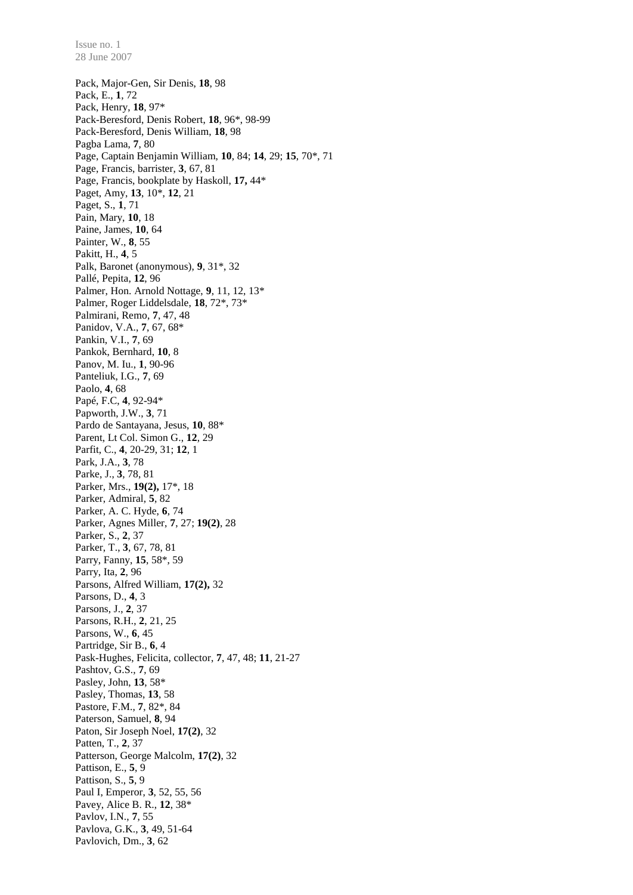Pack, Major-Gen, Sir Denis, **18**, 98 Pack, E., **1**, 72 Pack, Henry, **18**, 97\* Pack-Beresford, Denis Robert, **18**, 96\*, 98-99 Pack-Beresford, Denis William, **18**, 98 Pagba Lama, **7**, 80 Page, Captain Benjamin William, **10**, 84; **14**, 29; **15**, 70\*, 71 Page, Francis, barrister, **3**, 67, 81 Page, Francis, bookplate by Haskoll, **17,** 44\* Paget, Amy, **13**, 10\*, **12**, 21 Paget, S., **1**, 71 Pain, Mary, **10**, 18 Paine, James, **10**, 64 Painter, W., **8**, 55 Pakitt, H., **4**, 5 Palk, Baronet (anonymous), **9**, 31\*, 32 Pallé, Pepita, **12**, 96 Palmer, Hon. Arnold Nottage, **9**, 11, 12, 13\* Palmer, Roger Liddelsdale, **18**, 72\*, 73\* Palmirani, Remo, **7**, 47, 48 Panidov, V.A., **7**, 67, 68\* Pankin, V.I., **7**, 69 Pankok, Bernhard, **10**, 8 Panov, M. Iu., **1**, 90-96 Panteliuk, I.G., **7**, 69 Paolo, **4**, 68 Papé, F.C, **4**, 92-94\* Papworth, J.W., **3**, 71 Pardo de Santayana, Jesus, **10**, 88\* Parent, Lt Col. Simon G., **12**, 29 Parfit, C., **4**, 20-29, 31; **12**, 1 Park, J.A., **3**, 78 Parke, J., **3**, 78, 81 Parker, Mrs., **19(2),** 17\*, 18 Parker, Admiral, **5**, 82 Parker, A. C. Hyde, **6**, 74 Parker, Agnes Miller, **7**, 27; **19(2)**, 28 Parker, S., **2**, 37 Parker, T., **3**, 67, 78, 81 Parry, Fanny, **15**, 58\*, 59 Parry, Ita, **2**, 96 Parsons, Alfred William, **17(2),** 32 Parsons, D., **4**, 3 Parsons, J., **2**, 37 Parsons, R.H., **2**, 21, 25 Parsons, W., **6**, 45 Partridge, Sir B., **6**, 4 Pask-Hughes, Felicita, collector, **7**, 47, 48; **11**, 21-27 Pashtov, G.S., **7**, 69 Pasley, John, **13**, 58\* Pasley, Thomas, **13**, 58 Pastore, F.M., **7**, 82\*, 84 Paterson, Samuel, **8**, 94 Paton, Sir Joseph Noel, **17(2)**, 32 Patten, T., **2**, 37 Patterson, George Malcolm, **17(2)**, 32 Pattison, E., **5**, 9 Pattison, S., **5**, 9 Paul I, Emperor, **3**, 52, 55, 56 Pavey, Alice B. R., **12**, 38\* Pavlov, I.N., **7**, 55 Pavlova, G.K., **3**, 49, 51-64 Pavlovich, Dm., **3**, 62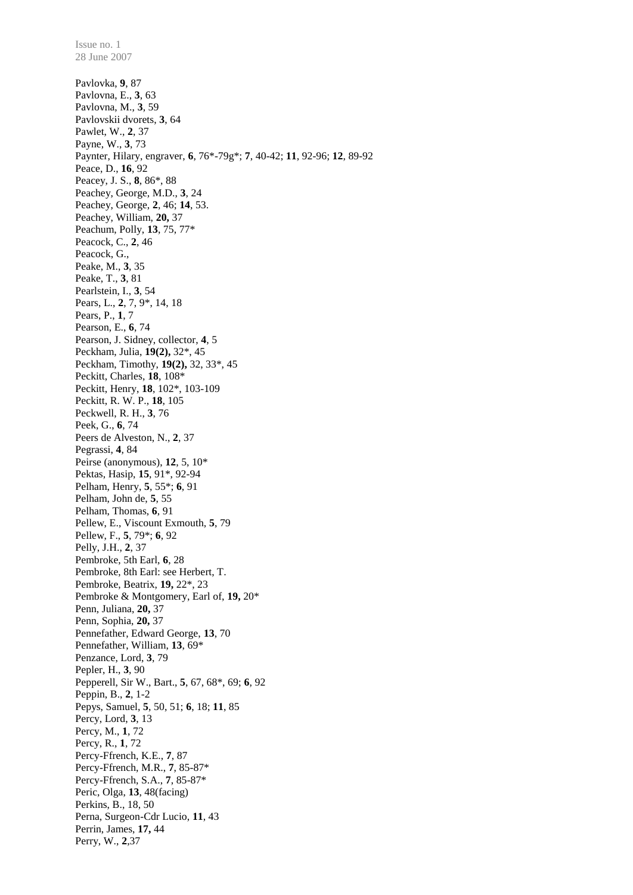28 June 2007 Pavlovka, **9**, 87 Pavlovna, E., **3**, 63 Pavlovna, M., **3**, 59 Pavlovskii dvorets, **3**, 64 Pawlet, W., **2**, 37 Payne, W., **3**, 73 Paynter, Hilary, engraver, **6**, 76\*-79g\*; **7**, 40-42; **11**, 92-96; **12**, 89-92 Peace, D., **16**, 92 Peacey, J. S., **8**, 86\*, 88 Peachey, George, M.D., **3**, 24 Peachey, George, **2**, 46; **14**, 53. Peachey, William, **20,** 37 Peachum, Polly, **13**, 75, 77\* Peacock, C., **2**, 46 Peacock, G., Peake, M., **3**, 35 Peake, T., **3**, 81 Pearlstein, I., **3**, 54 Pears, L., **2**, 7, 9\*, 14, 18 Pears, P., **1**, 7 Pearson, E., **6**, 74 Pearson, J. Sidney, collector, **4**, 5 Peckham, Julia, **19(2),** 32\*, 45 Peckham, Timothy, **19(2),** 32, 33\*, 45 Peckitt, Charles, **18**, 108\* Peckitt, Henry, **18**, 102\*, 103-109 Peckitt, R. W. P., **18**, 105 Peckwell, R. H., **3**, 76 Peek, G., **6**, 74 Peers de Alveston, N., **2**, 37 Pegrassi, **4**, 84 Peirse (anonymous), **12**, 5, 10\* Pektas, Hasip, **15**, 91\*, 92-94 Pelham, Henry, **5**, 55\*; **6**, 91 Pelham, John de, **5**, 55 Pelham, Thomas, **6**, 91 Pellew, E., Viscount Exmouth, **5**, 79 Pellew, F., **5**, 79\*; **6**, 92 Pelly, J.H., **2**, 37 Pembroke, 5th Earl, **6**, 28 Pembroke, 8th Earl: see Herbert, T. Pembroke, Beatrix, **19,** 22\*, 23 Pembroke & Montgomery, Earl of, **19,** 20\* Penn, Juliana, **20,** 37 Penn, Sophia, **20,** 37 Pennefather, Edward George, **13**, 70 Pennefather, William, **13**, 69\* Penzance, Lord, **3**, 79 Pepler, H., **3**, 90 Pepperell, Sir W., Bart., **5**, 67, 68\*, 69; **6**, 92 Peppin, B., **2**, 1-2 Pepys, Samuel, **5**, 50, 51; **6**, 18; **11**, 85 Percy, Lord, **3**, 13 Percy, M., **1**, 72 Percy, R., **1**, 72 Percy-Ffrench, K.E., **7**, 87 Percy-Ffrench, M.R., **7**, 85-87\* Percy-Ffrench, S.A., **7**, 85-87\* Peric, Olga, **13**, 48(facing) Perkins, B., 18, 50 Perna, Surgeon-Cdr Lucio, **11**, 43 Perrin, James, **17,** 44 Perry, W., **2**,37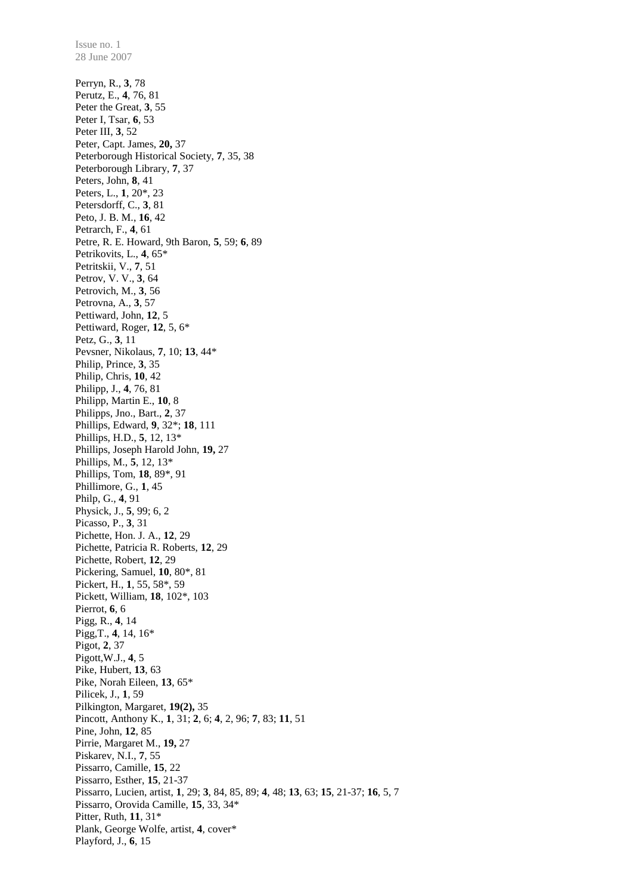28 June 2007 Perryn, R., **3**, 78 Perutz, E., **4**, 76, 81 Peter the Great, **3**, 55 Peter I, Tsar, **6**, 53 Peter III, **3**, 52 Peter, Capt. James, **20,** 37 Peterborough Historical Society, **7**, 35, 38 Peterborough Library, **7**, 37 Peters, John, **8**, 41 Peters, L., **1**, 20\*, 23 Petersdorff, C., **3**, 81 Peto, J. B. M., **16**, 42 Petrarch, F., **4**, 61 Petre, R. E. Howard, 9th Baron, **5**, 59; **6**, 89 Petrikovits, L., **4**, 65\* Petritskii, V., **7**, 51 Petrov, V. V., **3**, 64 Petrovich, M., **3**, 56 Petrovna, A., **3**, 57 Pettiward, John, **12**, 5 Pettiward, Roger, **12**, 5, 6\* Petz, G., **3**, 11 Pevsner, Nikolaus, **7**, 10; **13**, 44\* Philip, Prince, **3**, 35 Philip, Chris, **10**, 42 Philipp, J., **4**, 76, 81 Philipp, Martin E., **10**, 8 Philipps, Jno., Bart., **2**, 37 Phillips, Edward, **9**, 32\*; **18**, 111 Phillips, H.D., **5**, 12, 13\* Phillips, Joseph Harold John, **19,** 27 Phillips, M., **5**, 12, 13\* Phillips, Tom, **18**, 89\*, 91 Phillimore, G., **1**, 45 Philp, G., **4**, 91 Physick, J., **5**, 99; 6, 2 Picasso, P., **3**, 31 Pichette, Hon. J. A., **12**, 29 Pichette, Patricia R. Roberts, **12**, 29 Pichette, Robert, **12**, 29 Pickering, Samuel, **10**, 80\*, 81 Pickert, H., **1**, 55, 58\*, 59 Pickett, William, **18**, 102\*, 103 Pierrot, **6**, 6 Pigg, R., **4**, 14 Pigg,T., **4**, 14, 16\* Pigot, **2**, 37 Pigott,W.J., **4**, 5 Pike, Hubert, **13**, 63 Pike, Norah Eileen, **13**, 65\* Pilicek, J., **1**, 59 Pilkington, Margaret, **19(2),** 35 Pincott, Anthony K., **1**, 31; **2**, 6; **4**, 2, 96; **7**, 83; **11**, 51 Pine, John, **12**, 85 Pirrie, Margaret M., **19,** 27 Piskarev, N.I., **7**, 55 Pissarro, Camille, **15**, 22 Pissarro, Esther, **15**, 21-37 Pissarro, Lucien, artist, **1**, 29; **3**, 84, 85, 89; **4**, 48; **13**, 63; **15**, 21-37; **16**, 5, 7 Pissarro, Orovida Camille, **15**, 33, 34\* Pitter, Ruth, **11**, 31\* Plank, George Wolfe, artist, **4**, cover\* Playford, J., **6**, 15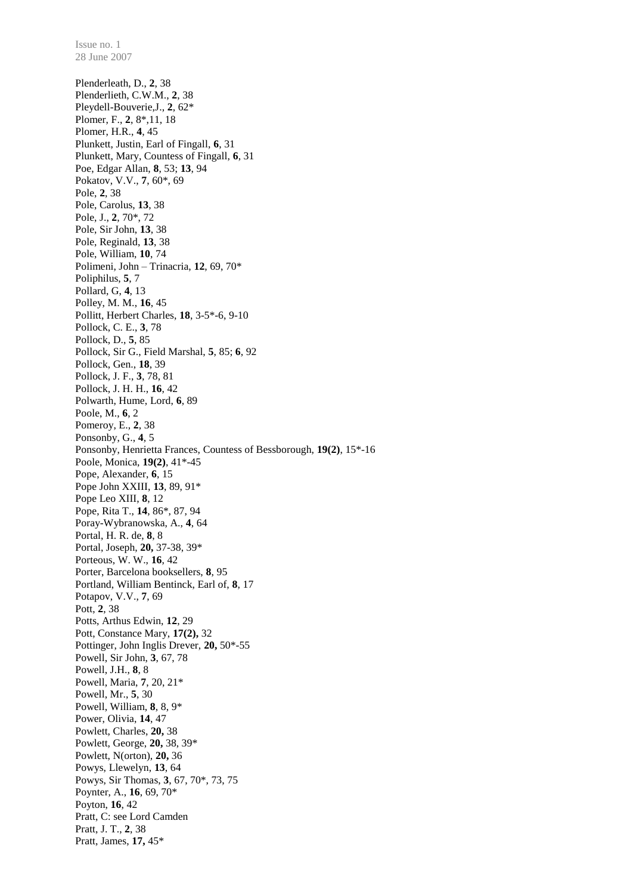28 June 2007 Plenderleath, D., **2**, 38 Plenderlieth, C.W.M., **2**, 38 Pleydell-Bouverie,J., **2**, 62\* Plomer, F., **2**, 8\*,11, 18 Plomer, H.R., **4**, 45 Plunkett, Justin, Earl of Fingall, **6**, 31 Plunkett, Mary, Countess of Fingall, **6**, 31 Poe, Edgar Allan, **8**, 53; **13**, 94 Pokatov, V.V., **7**, 60\*, 69 Pole, **2**, 38 Pole, Carolus, **13**, 38 Pole, J., **2**, 70\*, 72 Pole, Sir John, **13**, 38 Pole, Reginald, **13**, 38 Pole, William, **10**, 74 Polimeni, John – Trinacria, **12**, 69, 70\* Poliphilus, **5**, 7 Pollard, G, **4**, 13 Polley, M. M., **16**, 45 Pollitt, Herbert Charles, **18**, 3-5\*-6, 9-10 Pollock, C. E., **3**, 78 Pollock, D., **5**, 85 Pollock, Sir G., Field Marshal, **5**, 85; **6**, 92 Pollock, Gen., **18**, 39 Pollock, J. F., **3**, 78, 81 Pollock, J. H. H., **16**, 42 Polwarth, Hume, Lord, **6**, 89 Poole, M., **6**, 2 Pomeroy, E., **2**, 38 Ponsonby, G., **4**, 5 Ponsonby, Henrietta Frances, Countess of Bessborough, **19(2)**, 15\*-16 Poole, Monica, **19(2)**, 41\*-45 Pope, Alexander, **6**, 15 Pope John XXIII, **13**, 89, 91\* Pope Leo XIII, **8**, 12 Pope, Rita T., **14**, 86\*, 87, 94 Poray-Wybranowska, A., **4**, 64 Portal, H. R. de, **8**, 8 Portal, Joseph, **20,** 37-38, 39\* Porteous, W. W., **16**, 42 Porter, Barcelona booksellers, **8**, 95 Portland, William Bentinck, Earl of, **8**, 17 Potapov, V.V., **7**, 69 Pott, **2**, 38 Potts, Arthus Edwin, **12**, 29 Pott, Constance Mary, **17(2),** 32 Pottinger, John Inglis Drever, **20,** 50\*-55 Powell, Sir John, **3**, 67, 78 Powell, J.H., **8**, 8 Powell, Maria, **7**, 20, 21\* Powell, Mr., **5**, 30 Powell, William, **8**, 8, 9\* Power, Olivia, **14**, 47 Powlett, Charles, **20,** 38 Powlett, George, **20,** 38, 39\* Powlett, N(orton), **20,** 36 Powys, Llewelyn, **13**, 64 Powys, Sir Thomas, **3**, 67, 70\*, 73, 75 Poynter, A., **16**, 69, 70\* Poyton, **16**, 42 Pratt, C: see Lord Camden Pratt, J. T., **2**, 38 Pratt, James, **17,** 45\*